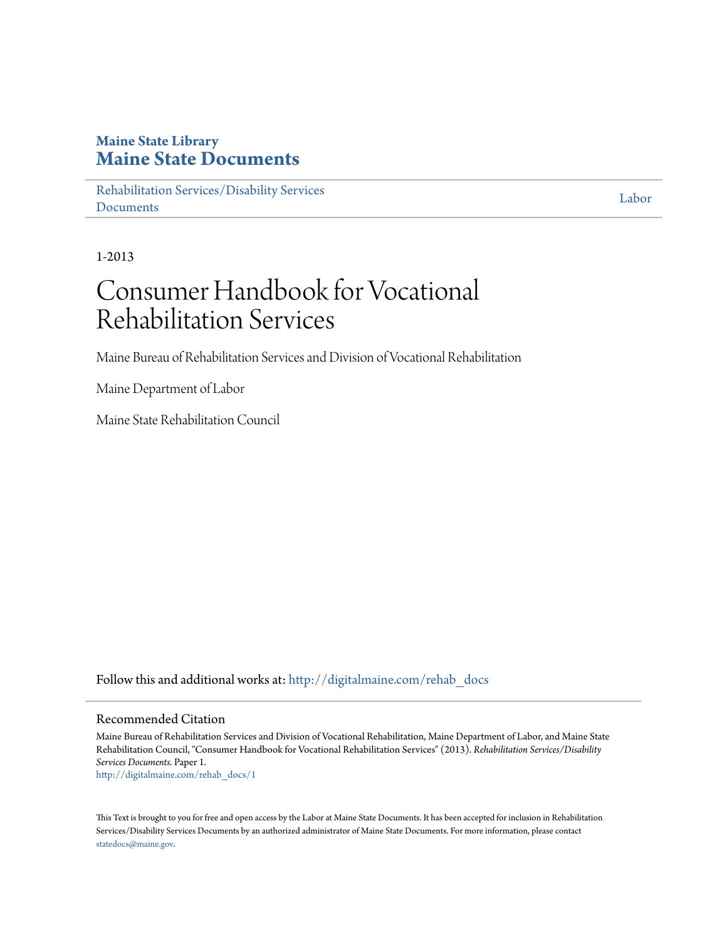### **Maine State Library [Maine State Documents](http://digitalmaine.com?utm_source=digitalmaine.com%2Frehab_docs%2F1&utm_medium=PDF&utm_campaign=PDFCoverPages)**

[Rehabilitation Services/Disability Services](http://digitalmaine.com/rehab_docs?utm_source=digitalmaine.com%2Frehab_docs%2F1&utm_medium=PDF&utm_campaign=PDFCoverPages) **[Documents](http://digitalmaine.com/rehab_docs?utm_source=digitalmaine.com%2Frehab_docs%2F1&utm_medium=PDF&utm_campaign=PDFCoverPages)** 

[Labor](http://digitalmaine.com/mdol?utm_source=digitalmaine.com%2Frehab_docs%2F1&utm_medium=PDF&utm_campaign=PDFCoverPages)

1-2013

# Consumer Handbook for Vocational Rehabilitation Services

Maine Bureau of Rehabilitation Services and Division of Vocational Rehabilitation

Maine Department of Labor

Maine State Rehabilitation Council

Follow this and additional works at: [http://digitalmaine.com/rehab\\_docs](http://digitalmaine.com/rehab_docs?utm_source=digitalmaine.com%2Frehab_docs%2F1&utm_medium=PDF&utm_campaign=PDFCoverPages)

#### Recommended Citation

Maine Bureau of Rehabilitation Services and Division of Vocational Rehabilitation, Maine Department of Labor, and Maine State Rehabilitation Council, "Consumer Handbook for Vocational Rehabilitation Services" (2013). *Rehabilitation Services/Disability Services Documents.* Paper 1. [http://digitalmaine.com/rehab\\_docs/1](http://digitalmaine.com/rehab_docs/1?utm_source=digitalmaine.com%2Frehab_docs%2F1&utm_medium=PDF&utm_campaign=PDFCoverPages)

This Text is brought to you for free and open access by the Labor at Maine State Documents. It has been accepted for inclusion in Rehabilitation Services/Disability Services Documents by an authorized administrator of Maine State Documents. For more information, please contact [statedocs@maine.gov.](mailto:statedocs@maine.gov)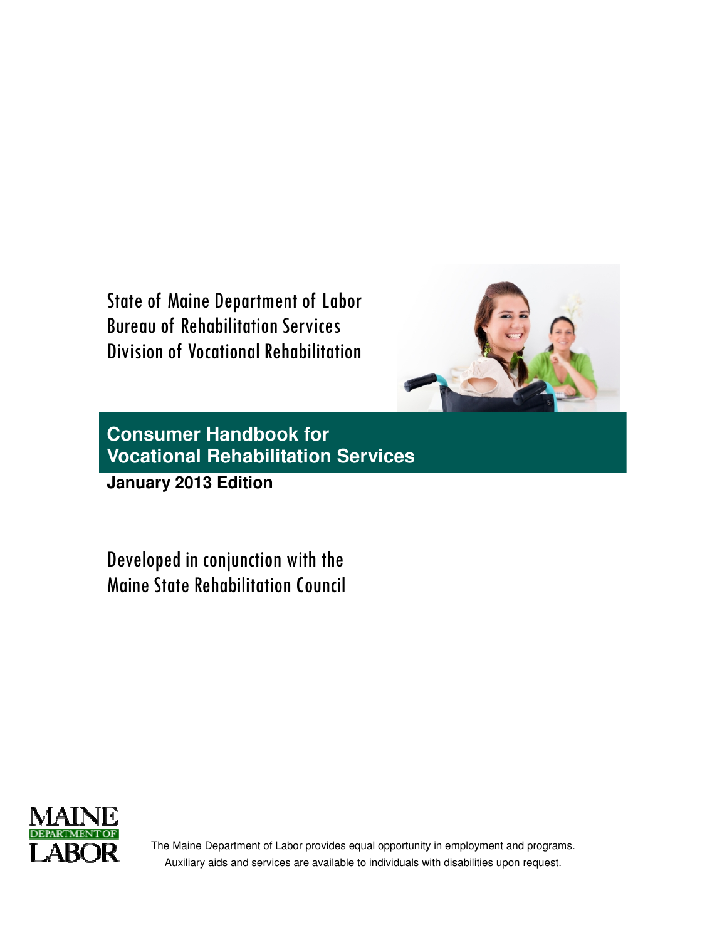State of Maine Department of Labor Bureau of Rehabilitation Services Division of Vocational Rehabilitation



**Consumer Handbook for Vocational Rehabilitation Services**

**January 2013 Edition** 

Developed in conjunction with the Maine State Rehabilitation Council



The Maine Department of Labor provides equal opportunity in employment and programs. Auxiliary aids and services are available to individuals with disabilities upon request.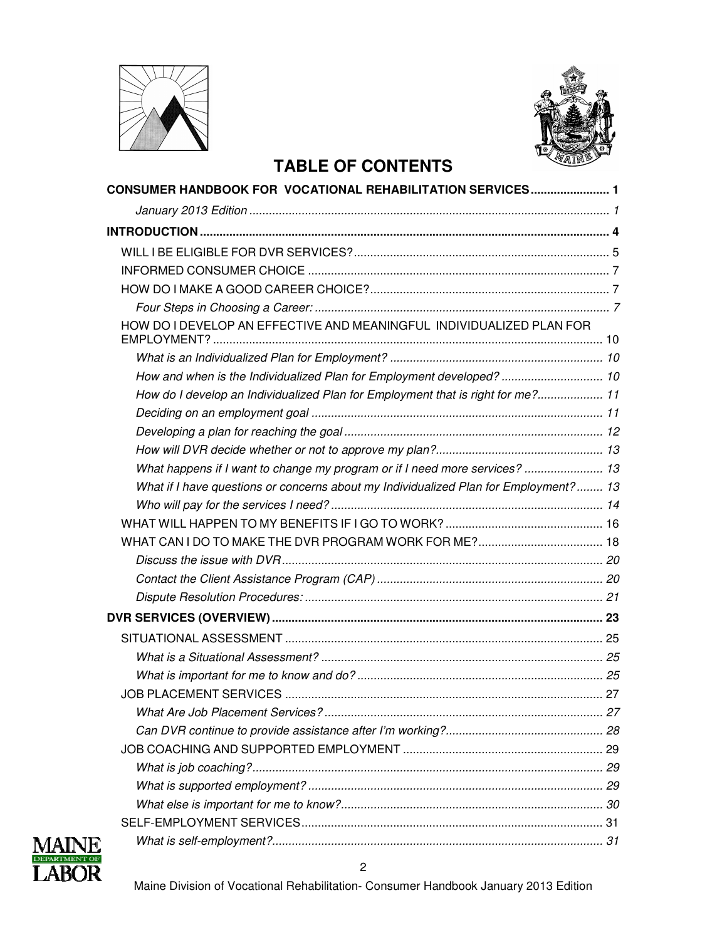



### **TABLE OF CONTENTS**

| CONSUMER HANDBOOK FOR  VOCATIONAL REHABILITATION SERVICES 1                          |  |
|--------------------------------------------------------------------------------------|--|
|                                                                                      |  |
|                                                                                      |  |
|                                                                                      |  |
|                                                                                      |  |
|                                                                                      |  |
|                                                                                      |  |
| HOW DO I DEVELOP AN EFFECTIVE AND MEANINGFUL INDIVIDUALIZED PLAN FOR                 |  |
|                                                                                      |  |
| How and when is the Individualized Plan for Employment developed? 10                 |  |
| How do I develop an Individualized Plan for Employment that is right for me? 11      |  |
|                                                                                      |  |
|                                                                                      |  |
|                                                                                      |  |
| What happens if I want to change my program or if I need more services?  13          |  |
| What if I have questions or concerns about my Individualized Plan for Employment? 13 |  |
|                                                                                      |  |
|                                                                                      |  |
|                                                                                      |  |
|                                                                                      |  |
|                                                                                      |  |
|                                                                                      |  |
|                                                                                      |  |
|                                                                                      |  |
|                                                                                      |  |
|                                                                                      |  |
|                                                                                      |  |
|                                                                                      |  |
|                                                                                      |  |
|                                                                                      |  |
|                                                                                      |  |
|                                                                                      |  |
|                                                                                      |  |
|                                                                                      |  |
|                                                                                      |  |

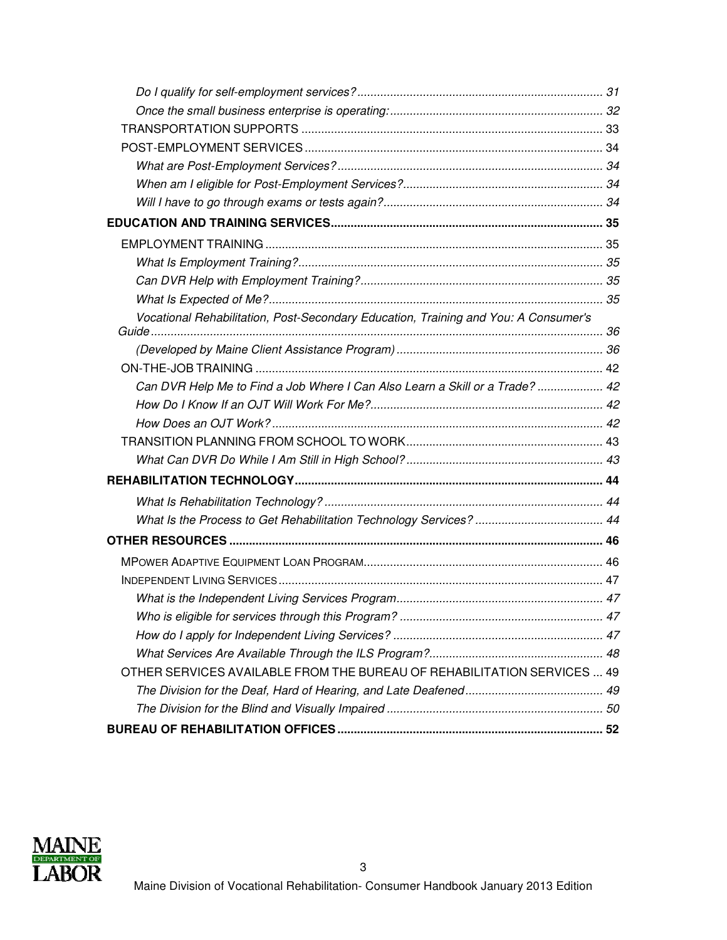| Vocational Rehabilitation, Post-Secondary Education, Training and You: A Consumer's |  |
|-------------------------------------------------------------------------------------|--|
|                                                                                     |  |
|                                                                                     |  |
|                                                                                     |  |
| Can DVR Help Me to Find a Job Where I Can Also Learn a Skill or a Trade?  42        |  |
|                                                                                     |  |
|                                                                                     |  |
|                                                                                     |  |
|                                                                                     |  |
|                                                                                     |  |
|                                                                                     |  |
|                                                                                     |  |
|                                                                                     |  |
|                                                                                     |  |
|                                                                                     |  |
|                                                                                     |  |
|                                                                                     |  |
|                                                                                     |  |
|                                                                                     |  |
| OTHER SERVICES AVAILABLE FROM THE BUREAU OF REHABILITATION SERVICES  49             |  |
|                                                                                     |  |
|                                                                                     |  |
|                                                                                     |  |

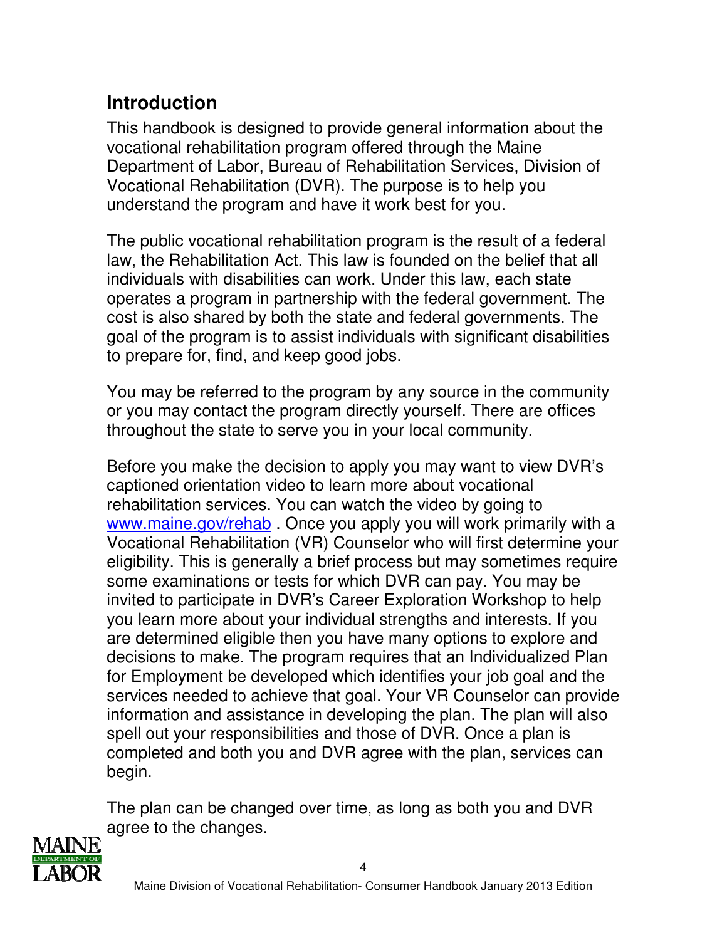# **Introduction**

This handbook is designed to provide general information about the vocational rehabilitation program offered through the Maine Department of Labor, Bureau of Rehabilitation Services, Division of Vocational Rehabilitation (DVR). The purpose is to help you understand the program and have it work best for you.

The public vocational rehabilitation program is the result of a federal law, the Rehabilitation Act. This law is founded on the belief that all individuals with disabilities can work. Under this law, each state operates a program in partnership with the federal government. The cost is also shared by both the state and federal governments. The goal of the program is to assist individuals with significant disabilities to prepare for, find, and keep good jobs.

You may be referred to the program by any source in the community or you may contact the program directly yourself. There are offices throughout the state to serve you in your local community.

Before you make the decision to apply you may want to view DVR's captioned orientation video to learn more about vocational rehabilitation services. You can watch the video by going to www.maine.gov/rehab. Once you apply you will work primarily with a Vocational Rehabilitation (VR) Counselor who will first determine your eligibility. This is generally a brief process but may sometimes require some examinations or tests for which DVR can pay. You may be invited to participate in DVR's Career Exploration Workshop to help you learn more about your individual strengths and interests. If you are determined eligible then you have many options to explore and decisions to make. The program requires that an Individualized Plan for Employment be developed which identifies your job goal and the services needed to achieve that goal. Your VR Counselor can provide information and assistance in developing the plan. The plan will also spell out your responsibilities and those of DVR. Once a plan is completed and both you and DVR agree with the plan, services can begin.

The plan can be changed over time, as long as both you and DVR agree to the changes.

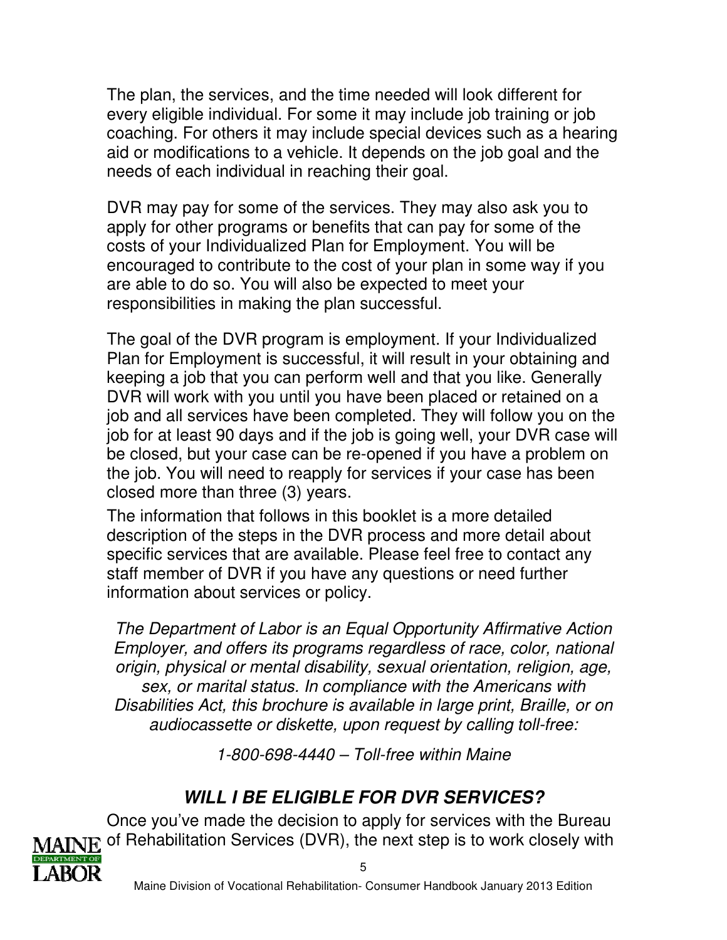The plan, the services, and the time needed will look different for every eligible individual. For some it may include job training or job coaching. For others it may include special devices such as a hearing aid or modifications to a vehicle. It depends on the job goal and the needs of each individual in reaching their goal.

DVR may pay for some of the services. They may also ask you to apply for other programs or benefits that can pay for some of the costs of your Individualized Plan for Employment. You will be encouraged to contribute to the cost of your plan in some way if you are able to do so. You will also be expected to meet your responsibilities in making the plan successful.

The goal of the DVR program is employment. If your Individualized Plan for Employment is successful, it will result in your obtaining and keeping a job that you can perform well and that you like. Generally DVR will work with you until you have been placed or retained on a job and all services have been completed. They will follow you on the job for at least 90 days and if the job is going well, your DVR case will be closed, but your case can be re-opened if you have a problem on the job. You will need to reapply for services if your case has been closed more than three (3) years.

The information that follows in this booklet is a more detailed description of the steps in the DVR process and more detail about specific services that are available. Please feel free to contact any staff member of DVR if you have any questions or need further information about services or policy.

The Department of Labor is an Equal Opportunity Affirmative Action Employer, and offers its programs regardless of race, color, national origin, physical or mental disability, sexual orientation, religion, age, sex, or marital status. In compliance with the Americans with Disabilities Act, this brochure is available in large print, Braille, or on audiocassette or diskette, upon request by calling toll-free:

1-800-698-4440 – Toll-free within Maine

# **WILL I BE ELIGIBLE FOR DVR SERVICES?**

Once you've made the decision to apply for services with the Bureau MAINE of Rehabilitation Services (DVR), the next step is to work closely with

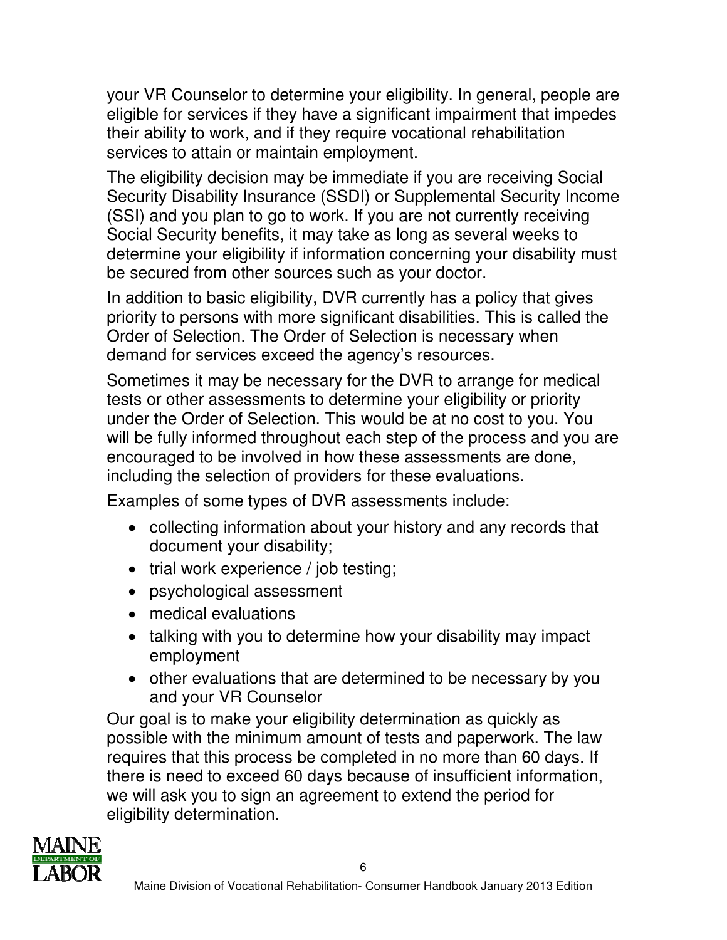your VR Counselor to determine your eligibility. In general, people are eligible for services if they have a significant impairment that impedes their ability to work, and if they require vocational rehabilitation services to attain or maintain employment.

The eligibility decision may be immediate if you are receiving Social Security Disability Insurance (SSDI) or Supplemental Security Income (SSI) and you plan to go to work. If you are not currently receiving Social Security benefits, it may take as long as several weeks to determine your eligibility if information concerning your disability must be secured from other sources such as your doctor.

In addition to basic eligibility, DVR currently has a policy that gives priority to persons with more significant disabilities. This is called the Order of Selection. The Order of Selection is necessary when demand for services exceed the agency's resources.

Sometimes it may be necessary for the DVR to arrange for medical tests or other assessments to determine your eligibility or priority under the Order of Selection. This would be at no cost to you. You will be fully informed throughout each step of the process and you are encouraged to be involved in how these assessments are done, including the selection of providers for these evaluations.

Examples of some types of DVR assessments include:

- collecting information about your history and any records that document your disability;
- trial work experience / job testing;
- psychological assessment
- medical evaluations
- talking with you to determine how your disability may impact employment
- other evaluations that are determined to be necessary by you and your VR Counselor

Our goal is to make your eligibility determination as quickly as possible with the minimum amount of tests and paperwork. The law requires that this process be completed in no more than 60 days. If there is need to exceed 60 days because of insufficient information, we will ask you to sign an agreement to extend the period for eligibility determination.

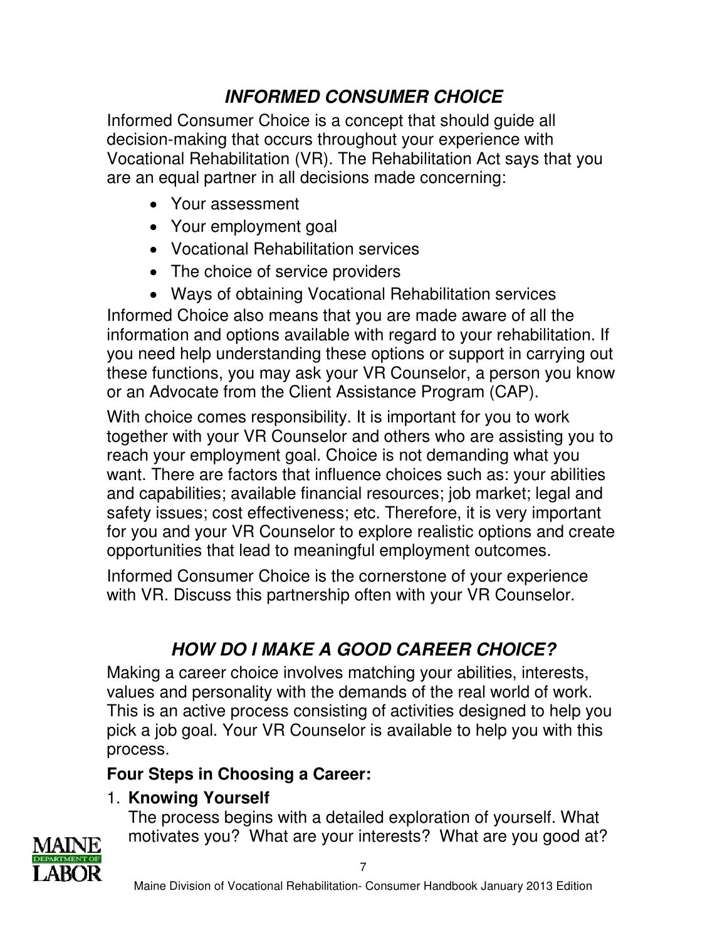# **INFORMED CONSUMER CHOICE**

Informed Consumer Choice is a concept that should guide all decision-making that occurs throughout your experience with Vocational Rehabilitation (VR). The Rehabilitation Act says that you are an equal partner in all decisions made concerning:

- Your assessment
- Your employment goal
- Vocational Rehabilitation services
- The choice of service providers
- Ways of obtaining Vocational Rehabilitation services

Informed Choice also means that you are made aware of all the information and options available with regard to your rehabilitation. If you need help understanding these options or support in carrying out these functions, you may ask your VR Counselor, a person you know or an Advocate from the Client Assistance Program (CAP).

With choice comes responsibility. It is important for you to work together with your VR Counselor and others who are assisting you to reach your employment goal. Choice is not demanding what you want. There are factors that influence choices such as: your abilities and capabilities; available financial resources; job market; legal and safety issues; cost effectiveness; etc. Therefore, it is very important for you and your VR Counselor to explore realistic options and create opportunities that lead to meaningful employment outcomes.

Informed Consumer Choice is the cornerstone of your experience with VR. Discuss this partnership often with your VR Counselor.

# **HOW DO I MAKE A GOOD CAREER CHOICE?**

Making a career choice involves matching your abilities, interests, values and personality with the demands of the real world of work. This is an active process consisting of activities designed to help you pick a job goal. Your VR Counselor is available to help you with this process.

## **Four Steps in Choosing a Career:**

## 1. **Knowing Yourself**

The process begins with a detailed exploration of yourself. What motivates you? What are your interests? What are you good at?

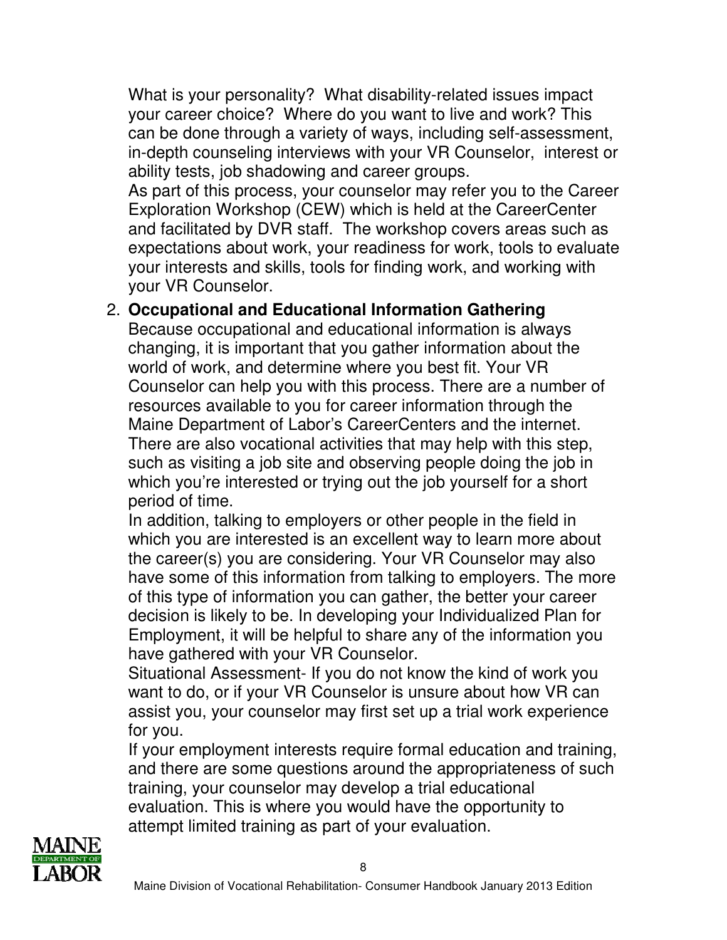What is your personality? What disability-related issues impact your career choice? Where do you want to live and work? This can be done through a variety of ways, including self-assessment, in-depth counseling interviews with your VR Counselor, interest or ability tests, job shadowing and career groups.

As part of this process, your counselor may refer you to the Career Exploration Workshop (CEW) which is held at the CareerCenter and facilitated by DVR staff. The workshop covers areas such as expectations about work, your readiness for work, tools to evaluate your interests and skills, tools for finding work, and working with your VR Counselor.

### 2. **Occupational and Educational Information Gathering**

Because occupational and educational information is always changing, it is important that you gather information about the world of work, and determine where you best fit. Your VR Counselor can help you with this process. There are a number of resources available to you for career information through the Maine Department of Labor's CareerCenters and the internet. There are also vocational activities that may help with this step, such as visiting a job site and observing people doing the job in which you're interested or trying out the job yourself for a short period of time.

In addition, talking to employers or other people in the field in which you are interested is an excellent way to learn more about the career(s) you are considering. Your VR Counselor may also have some of this information from talking to employers. The more of this type of information you can gather, the better your career decision is likely to be. In developing your Individualized Plan for Employment, it will be helpful to share any of the information you have gathered with your VR Counselor.

Situational Assessment- If you do not know the kind of work you want to do, or if your VR Counselor is unsure about how VR can assist you, your counselor may first set up a trial work experience for you.

If your employment interests require formal education and training, and there are some questions around the appropriateness of such training, your counselor may develop a trial educational evaluation. This is where you would have the opportunity to attempt limited training as part of your evaluation.

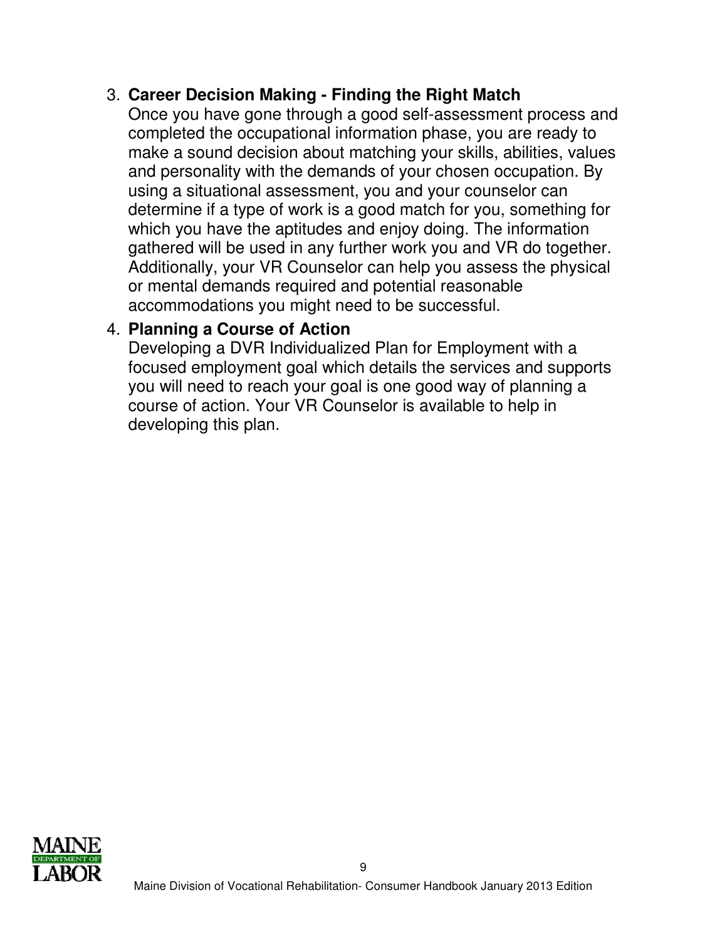### 3. **Career Decision Making - Finding the Right Match**

Once you have gone through a good self-assessment process and completed the occupational information phase, you are ready to make a sound decision about matching your skills, abilities, values and personality with the demands of your chosen occupation. By using a situational assessment, you and your counselor can determine if a type of work is a good match for you, something for which you have the aptitudes and enjoy doing. The information gathered will be used in any further work you and VR do together. Additionally, your VR Counselor can help you assess the physical or mental demands required and potential reasonable accommodations you might need to be successful.

### 4. **Planning a Course of Action**

Developing a DVR Individualized Plan for Employment with a focused employment goal which details the services and supports you will need to reach your goal is one good way of planning a course of action. Your VR Counselor is available to help in developing this plan.

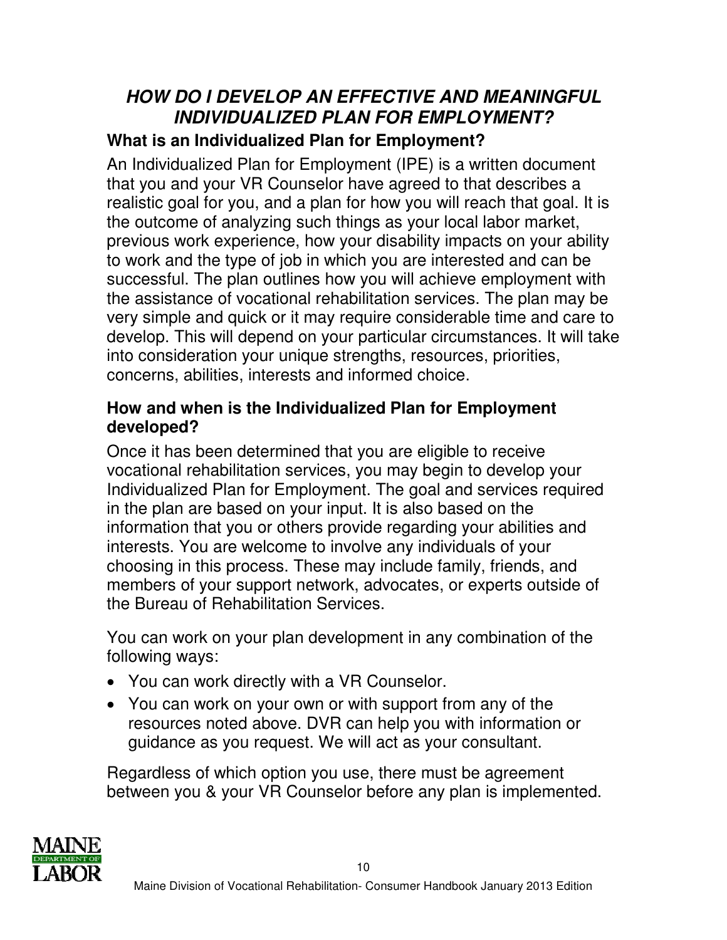## **HOW DO I DEVELOP AN EFFECTIVE AND MEANINGFUL INDIVIDUALIZED PLAN FOR EMPLOYMENT?**

## **What is an Individualized Plan for Employment?**

An Individualized Plan for Employment (IPE) is a written document that you and your VR Counselor have agreed to that describes a realistic goal for you, and a plan for how you will reach that goal. It is the outcome of analyzing such things as your local labor market, previous work experience, how your disability impacts on your ability to work and the type of job in which you are interested and can be successful. The plan outlines how you will achieve employment with the assistance of vocational rehabilitation services. The plan may be very simple and quick or it may require considerable time and care to develop. This will depend on your particular circumstances. It will take into consideration your unique strengths, resources, priorities, concerns, abilities, interests and informed choice.

### **How and when is the Individualized Plan for Employment developed?**

Once it has been determined that you are eligible to receive vocational rehabilitation services, you may begin to develop your Individualized Plan for Employment. The goal and services required in the plan are based on your input. It is also based on the information that you or others provide regarding your abilities and interests. You are welcome to involve any individuals of your choosing in this process. These may include family, friends, and members of your support network, advocates, or experts outside of the Bureau of Rehabilitation Services.

You can work on your plan development in any combination of the following ways:

- You can work directly with a VR Counselor.
- You can work on your own or with support from any of the resources noted above. DVR can help you with information or guidance as you request. We will act as your consultant.

Regardless of which option you use, there must be agreement between you & your VR Counselor before any plan is implemented.

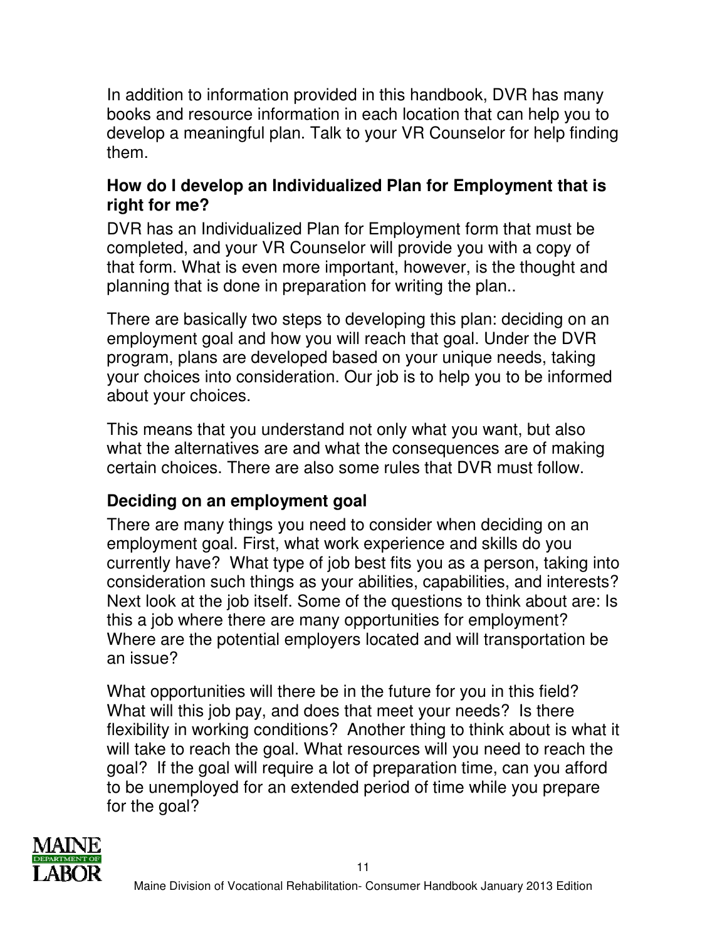In addition to information provided in this handbook, DVR has many books and resource information in each location that can help you to develop a meaningful plan. Talk to your VR Counselor for help finding them.

### **How do I develop an Individualized Plan for Employment that is right for me?**

DVR has an Individualized Plan for Employment form that must be completed, and your VR Counselor will provide you with a copy of that form. What is even more important, however, is the thought and planning that is done in preparation for writing the plan..

There are basically two steps to developing this plan: deciding on an employment goal and how you will reach that goal. Under the DVR program, plans are developed based on your unique needs, taking your choices into consideration. Our job is to help you to be informed about your choices.

This means that you understand not only what you want, but also what the alternatives are and what the consequences are of making certain choices. There are also some rules that DVR must follow.

# **Deciding on an employment goal**

There are many things you need to consider when deciding on an employment goal. First, what work experience and skills do you currently have? What type of job best fits you as a person, taking into consideration such things as your abilities, capabilities, and interests? Next look at the job itself. Some of the questions to think about are: Is this a job where there are many opportunities for employment? Where are the potential employers located and will transportation be an issue?

What opportunities will there be in the future for you in this field? What will this job pay, and does that meet your needs? Is there flexibility in working conditions? Another thing to think about is what it will take to reach the goal. What resources will you need to reach the goal? If the goal will require a lot of preparation time, can you afford to be unemployed for an extended period of time while you prepare for the goal?

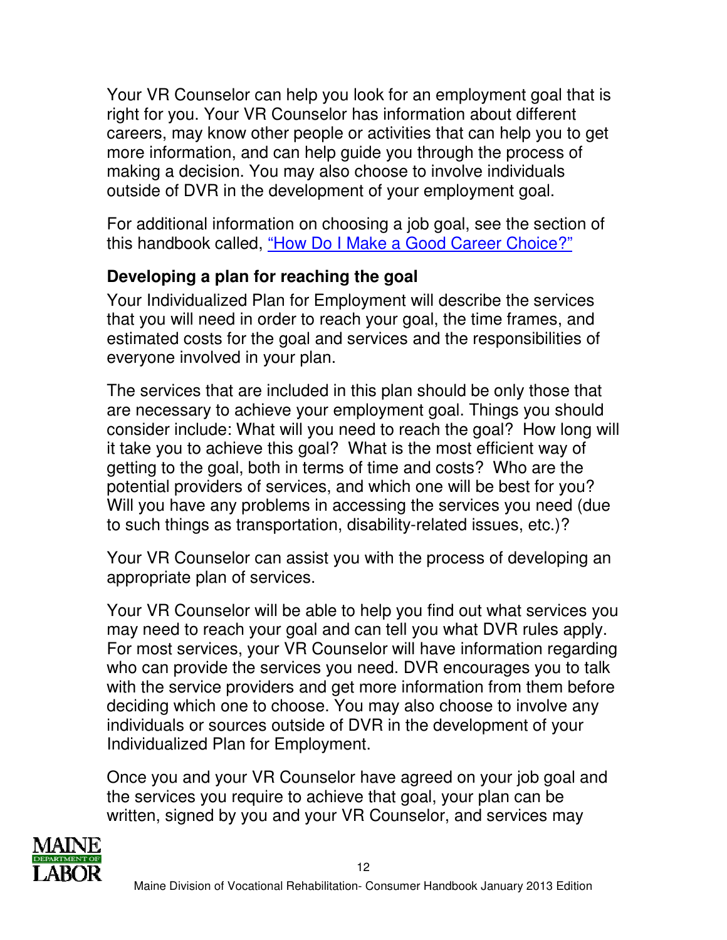Your VR Counselor can help you look for an employment goal that is right for you. Your VR Counselor has information about different careers, may know other people or activities that can help you to get more information, and can help guide you through the process of making a decision. You may also choose to involve individuals outside of DVR in the development of your employment goal.

For additional information on choosing a job goal, see the section of this handbook called, "How Do I Make a Good Career Choice?"

## **Developing a plan for reaching the goal**

Your Individualized Plan for Employment will describe the services that you will need in order to reach your goal, the time frames, and estimated costs for the goal and services and the responsibilities of everyone involved in your plan.

The services that are included in this plan should be only those that are necessary to achieve your employment goal. Things you should consider include: What will you need to reach the goal? How long will it take you to achieve this goal? What is the most efficient way of getting to the goal, both in terms of time and costs? Who are the potential providers of services, and which one will be best for you? Will you have any problems in accessing the services you need (due to such things as transportation, disability-related issues, etc.)?

Your VR Counselor can assist you with the process of developing an appropriate plan of services.

Your VR Counselor will be able to help you find out what services you may need to reach your goal and can tell you what DVR rules apply. For most services, your VR Counselor will have information regarding who can provide the services you need. DVR encourages you to talk with the service providers and get more information from them before deciding which one to choose. You may also choose to involve any individuals or sources outside of DVR in the development of your Individualized Plan for Employment.

Once you and your VR Counselor have agreed on your job goal and the services you require to achieve that goal, your plan can be written, signed by you and your VR Counselor, and services may

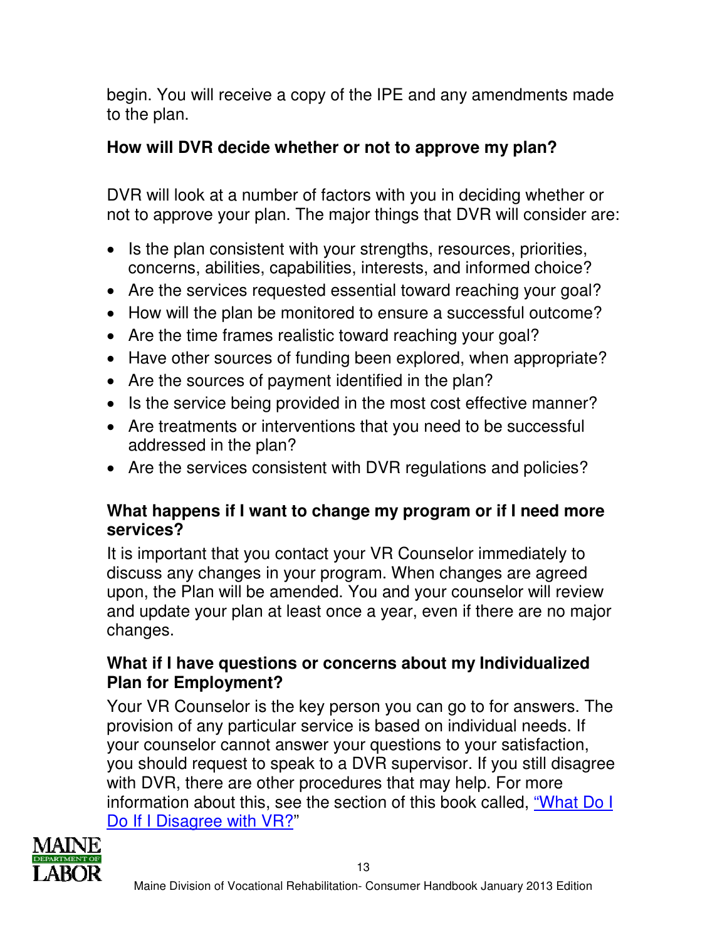begin. You will receive a copy of the IPE and any amendments made to the plan.

### **How will DVR decide whether or not to approve my plan?**

DVR will look at a number of factors with you in deciding whether or not to approve your plan. The major things that DVR will consider are:

- Is the plan consistent with your strengths, resources, priorities, concerns, abilities, capabilities, interests, and informed choice?
- Are the services requested essential toward reaching your goal?
- How will the plan be monitored to ensure a successful outcome?
- Are the time frames realistic toward reaching your goal?
- Have other sources of funding been explored, when appropriate?
- Are the sources of payment identified in the plan?
- Is the service being provided in the most cost effective manner?
- Are treatments or interventions that you need to be successful addressed in the plan?
- Are the services consistent with DVR regulations and policies?

### **What happens if I want to change my program or if I need more services?**

It is important that you contact your VR Counselor immediately to discuss any changes in your program. When changes are agreed upon, the Plan will be amended. You and your counselor will review and update your plan at least once a year, even if there are no major changes.

### **What if I have questions or concerns about my Individualized Plan for Employment?**

Your VR Counselor is the key person you can go to for answers. The provision of any particular service is based on individual needs. If your counselor cannot answer your questions to your satisfaction, you should request to speak to a DVR supervisor. If you still disagree with DVR, there are other procedures that may help. For more information about this, see the section of this book called, "What Do I Do If I Disagree with VR?"

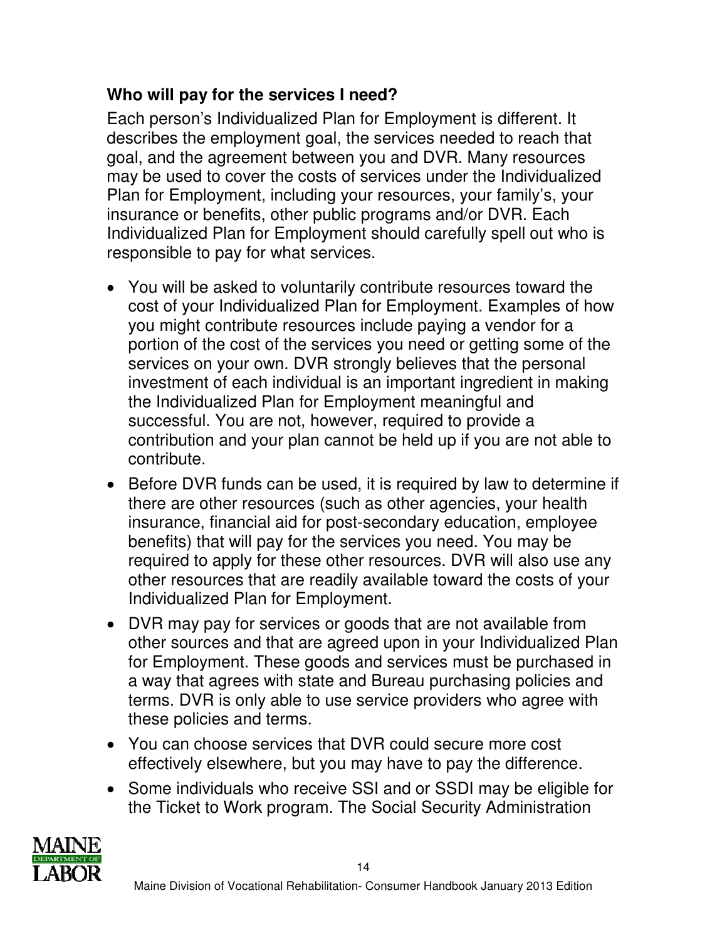## **Who will pay for the services I need?**

Each person's Individualized Plan for Employment is different. It describes the employment goal, the services needed to reach that goal, and the agreement between you and DVR. Many resources may be used to cover the costs of services under the Individualized Plan for Employment, including your resources, your family's, your insurance or benefits, other public programs and/or DVR. Each Individualized Plan for Employment should carefully spell out who is responsible to pay for what services.

- You will be asked to voluntarily contribute resources toward the cost of your Individualized Plan for Employment. Examples of how you might contribute resources include paying a vendor for a portion of the cost of the services you need or getting some of the services on your own. DVR strongly believes that the personal investment of each individual is an important ingredient in making the Individualized Plan for Employment meaningful and successful. You are not, however, required to provide a contribution and your plan cannot be held up if you are not able to contribute.
- Before DVR funds can be used, it is required by law to determine if there are other resources (such as other agencies, your health insurance, financial aid for post-secondary education, employee benefits) that will pay for the services you need. You may be required to apply for these other resources. DVR will also use any other resources that are readily available toward the costs of your Individualized Plan for Employment.
- DVR may pay for services or goods that are not available from other sources and that are agreed upon in your Individualized Plan for Employment. These goods and services must be purchased in a way that agrees with state and Bureau purchasing policies and terms. DVR is only able to use service providers who agree with these policies and terms.
- You can choose services that DVR could secure more cost effectively elsewhere, but you may have to pay the difference.
- Some individuals who receive SSI and or SSDI may be eligible for the Ticket to Work program. The Social Security Administration

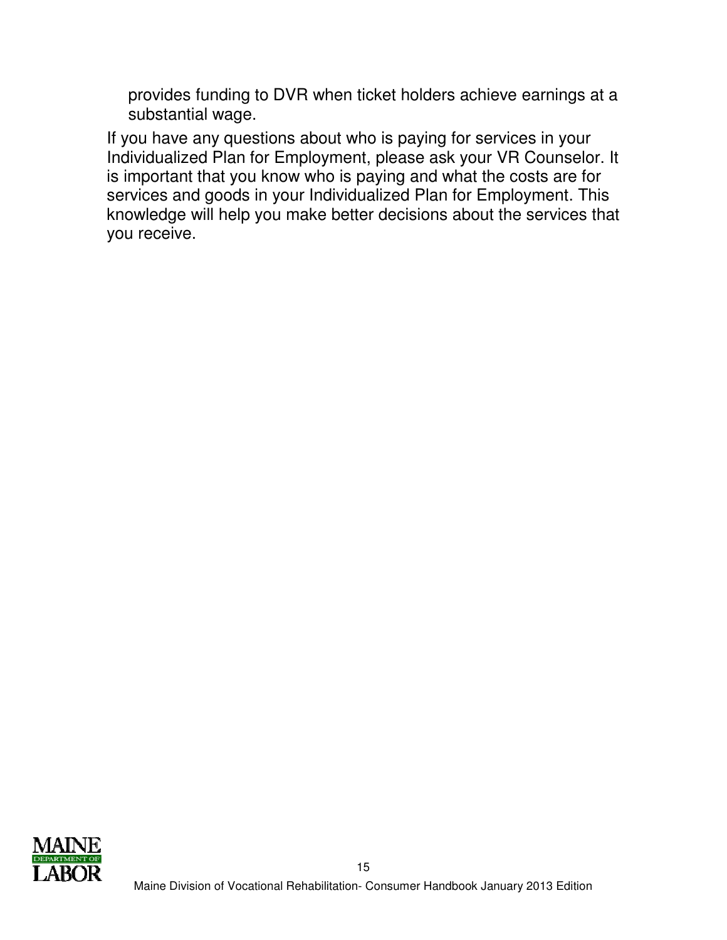provides funding to DVR when ticket holders achieve earnings at a substantial wage.

If you have any questions about who is paying for services in your Individualized Plan for Employment, please ask your VR Counselor. It is important that you know who is paying and what the costs are for services and goods in your Individualized Plan for Employment. This knowledge will help you make better decisions about the services that you receive.

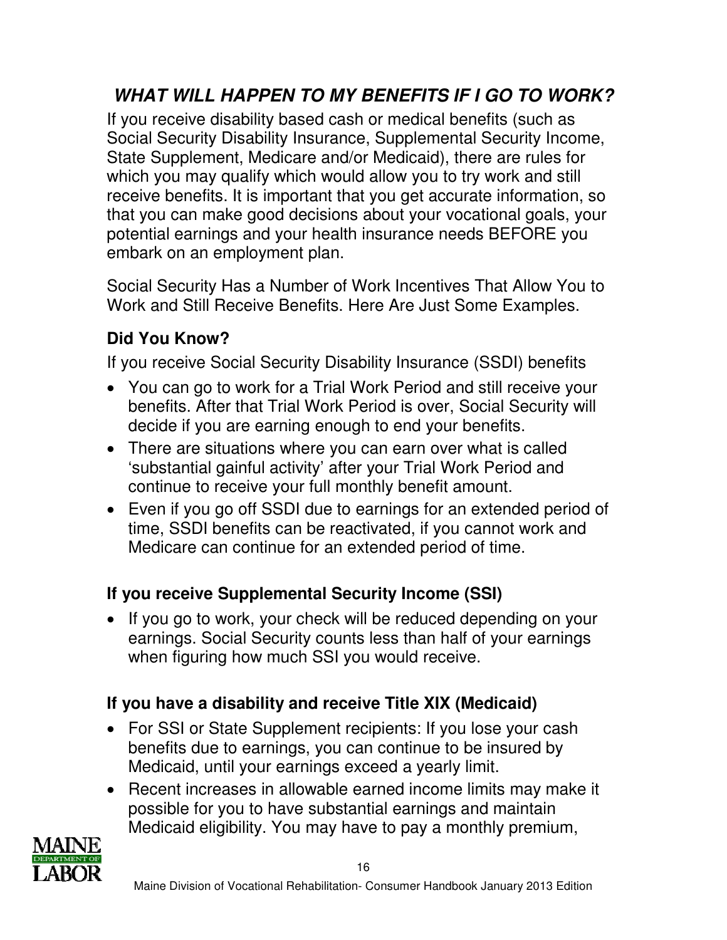# **WHAT WILL HAPPEN TO MY BENEFITS IF I GO TO WORK?**

If you receive disability based cash or medical benefits (such as Social Security Disability Insurance, Supplemental Security Income, State Supplement, Medicare and/or Medicaid), there are rules for which you may qualify which would allow you to try work and still receive benefits. It is important that you get accurate information, so that you can make good decisions about your vocational goals, your potential earnings and your health insurance needs BEFORE you embark on an employment plan.

Social Security Has a Number of Work Incentives That Allow You to Work and Still Receive Benefits. Here Are Just Some Examples.

## **Did You Know?**

If you receive Social Security Disability Insurance (SSDI) benefits

- You can go to work for a Trial Work Period and still receive your benefits. After that Trial Work Period is over, Social Security will decide if you are earning enough to end your benefits.
- There are situations where you can earn over what is called 'substantial gainful activity' after your Trial Work Period and continue to receive your full monthly benefit amount.
- Even if you go off SSDI due to earnings for an extended period of time, SSDI benefits can be reactivated, if you cannot work and Medicare can continue for an extended period of time.

### **If you receive Supplemental Security Income (SSI)**

• If you go to work, your check will be reduced depending on your earnings. Social Security counts less than half of your earnings when figuring how much SSI you would receive.

## **If you have a disability and receive Title XIX (Medicaid)**

- For SSI or State Supplement recipients: If you lose your cash benefits due to earnings, you can continue to be insured by Medicaid, until your earnings exceed a yearly limit.
- Recent increases in allowable earned income limits may make it possible for you to have substantial earnings and maintain Medicaid eligibility. You may have to pay a monthly premium,

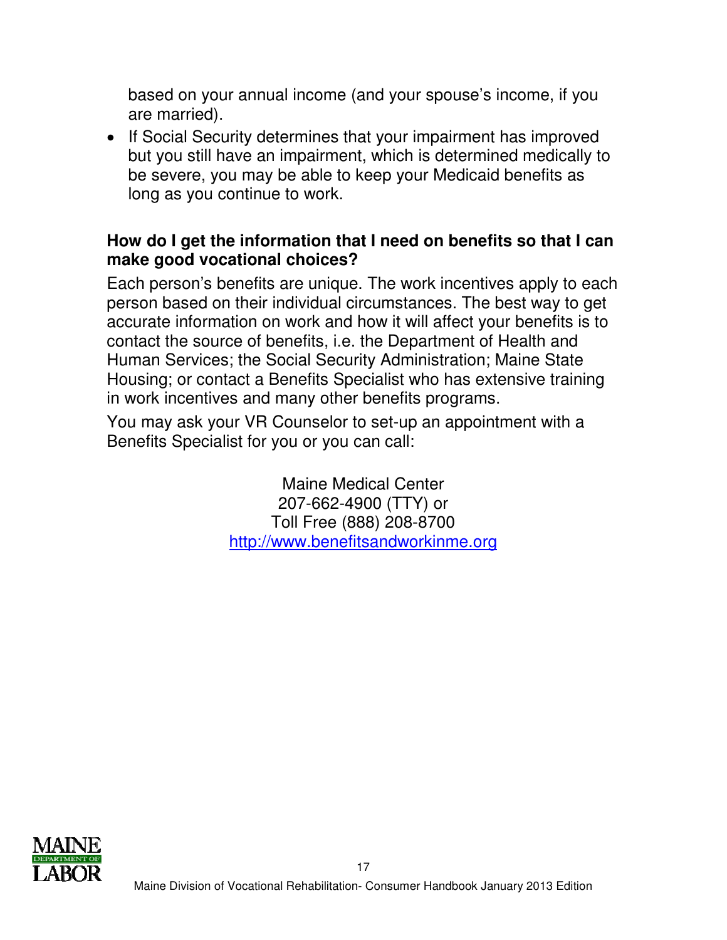based on your annual income (and your spouse's income, if you are married).

• If Social Security determines that your impairment has improved but you still have an impairment, which is determined medically to be severe, you may be able to keep your Medicaid benefits as long as you continue to work.

### **How do I get the information that I need on benefits so that I can make good vocational choices?**

Each person's benefits are unique. The work incentives apply to each person based on their individual circumstances. The best way to get accurate information on work and how it will affect your benefits is to contact the source of benefits, i.e. the Department of Health and Human Services; the Social Security Administration; Maine State Housing; or contact a Benefits Specialist who has extensive training in work incentives and many other benefits programs.

You may ask your VR Counselor to set-up an appointment with a Benefits Specialist for you or you can call:

> Maine Medical Center 207-662-4900 (TTY) or Toll Free (888) 208-8700 http://www.benefitsandworkinme.org

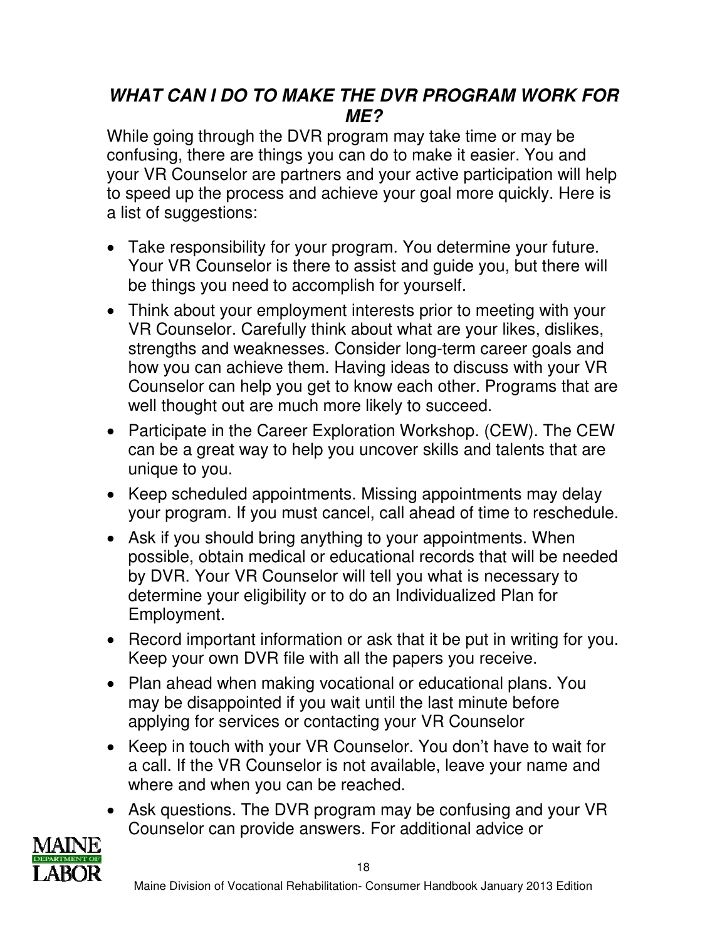## **WHAT CAN I DO TO MAKE THE DVR PROGRAM WORK FOR ME?**

While going through the DVR program may take time or may be confusing, there are things you can do to make it easier. You and your VR Counselor are partners and your active participation will help to speed up the process and achieve your goal more quickly. Here is a list of suggestions:

- Take responsibility for your program. You determine your future. Your VR Counselor is there to assist and guide you, but there will be things you need to accomplish for yourself.
- Think about your employment interests prior to meeting with your VR Counselor. Carefully think about what are your likes, dislikes, strengths and weaknesses. Consider long-term career goals and how you can achieve them. Having ideas to discuss with your VR Counselor can help you get to know each other. Programs that are well thought out are much more likely to succeed.
- Participate in the Career Exploration Workshop. (CEW). The CEW can be a great way to help you uncover skills and talents that are unique to you.
- Keep scheduled appointments. Missing appointments may delay your program. If you must cancel, call ahead of time to reschedule.
- Ask if you should bring anything to your appointments. When possible, obtain medical or educational records that will be needed by DVR. Your VR Counselor will tell you what is necessary to determine your eligibility or to do an Individualized Plan for Employment.
- Record important information or ask that it be put in writing for you. Keep your own DVR file with all the papers you receive.
- Plan ahead when making vocational or educational plans. You may be disappointed if you wait until the last minute before applying for services or contacting your VR Counselor
- Keep in touch with your VR Counselor. You don't have to wait for a call. If the VR Counselor is not available, leave your name and where and when you can be reached.
- Ask questions. The DVR program may be confusing and your VR Counselor can provide answers. For additional advice or

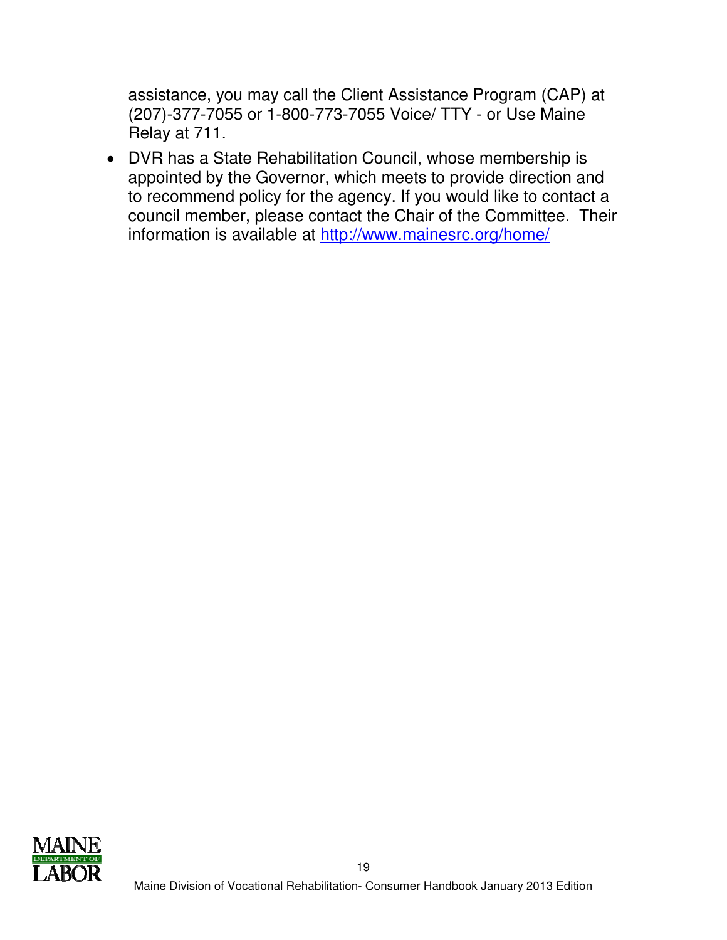assistance, you may call the Client Assistance Program (CAP) at (207)-377-7055 or 1-800-773-7055 Voice/ TTY - or Use Maine Relay at 711.

• DVR has a State Rehabilitation Council, whose membership is appointed by the Governor, which meets to provide direction and to recommend policy for the agency. If you would like to contact a council member, please contact the Chair of the Committee. Their information is available at http://www.mainesrc.org/home/

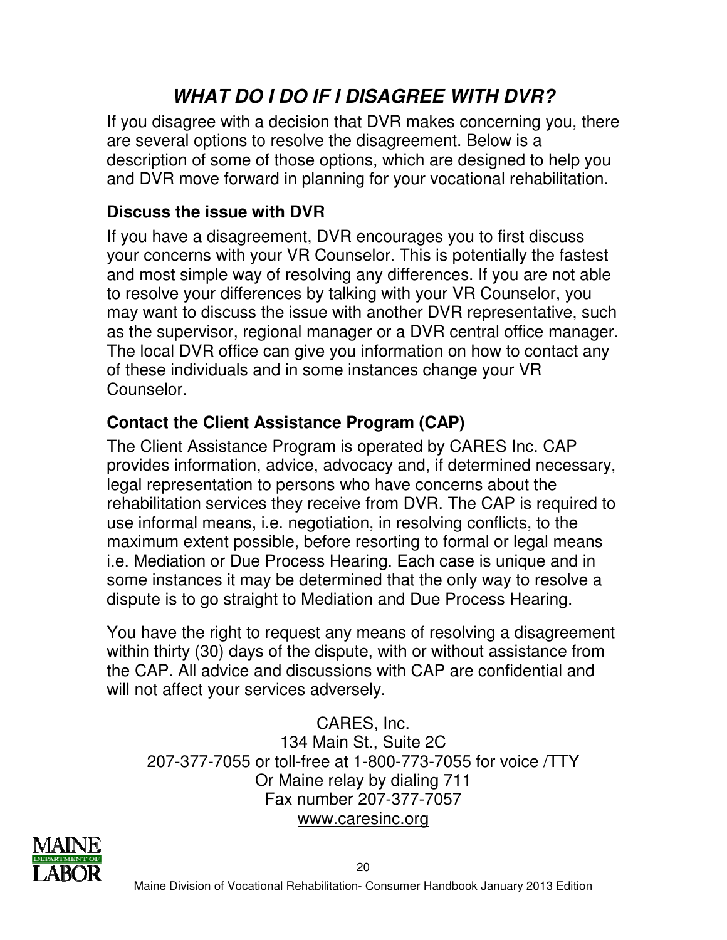# **WHAT DO I DO IF I DISAGREE WITH DVR?**

If you disagree with a decision that DVR makes concerning you, there are several options to resolve the disagreement. Below is a description of some of those options, which are designed to help you and DVR move forward in planning for your vocational rehabilitation.

### **Discuss the issue with DVR**

If you have a disagreement, DVR encourages you to first discuss your concerns with your VR Counselor. This is potentially the fastest and most simple way of resolving any differences. If you are not able to resolve your differences by talking with your VR Counselor, you may want to discuss the issue with another DVR representative, such as the supervisor, regional manager or a DVR central office manager. The local DVR office can give you information on how to contact any of these individuals and in some instances change your VR Counselor.

## **Contact the Client Assistance Program (CAP)**

The Client Assistance Program is operated by CARES Inc. CAP provides information, advice, advocacy and, if determined necessary, legal representation to persons who have concerns about the rehabilitation services they receive from DVR. The CAP is required to use informal means, i.e. negotiation, in resolving conflicts, to the maximum extent possible, before resorting to formal or legal means i.e. Mediation or Due Process Hearing. Each case is unique and in some instances it may be determined that the only way to resolve a dispute is to go straight to Mediation and Due Process Hearing.

You have the right to request any means of resolving a disagreement within thirty (30) days of the dispute, with or without assistance from the CAP. All advice and discussions with CAP are confidential and will not affect your services adversely.

CARES, Inc. 134 Main St., Suite 2C 207-377-7055 or toll-free at 1-800-773-7055 for voice /TTY Or Maine relay by dialing 711 Fax number 207-377-7057 www.caresinc.org

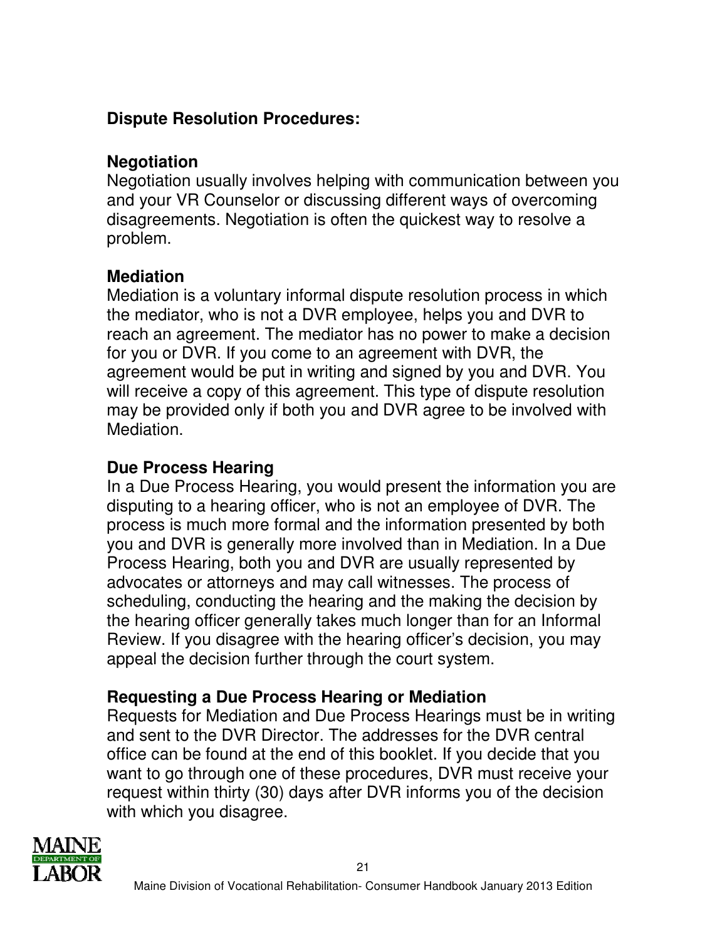## **Dispute Resolution Procedures:**

### **Negotiation**

Negotiation usually involves helping with communication between you and your VR Counselor or discussing different ways of overcoming disagreements. Negotiation is often the quickest way to resolve a problem.

### **Mediation**

Mediation is a voluntary informal dispute resolution process in which the mediator, who is not a DVR employee, helps you and DVR to reach an agreement. The mediator has no power to make a decision for you or DVR. If you come to an agreement with DVR, the agreement would be put in writing and signed by you and DVR. You will receive a copy of this agreement. This type of dispute resolution may be provided only if both you and DVR agree to be involved with Mediation.

### **Due Process Hearing**

In a Due Process Hearing, you would present the information you are disputing to a hearing officer, who is not an employee of DVR. The process is much more formal and the information presented by both you and DVR is generally more involved than in Mediation. In a Due Process Hearing, both you and DVR are usually represented by advocates or attorneys and may call witnesses. The process of scheduling, conducting the hearing and the making the decision by the hearing officer generally takes much longer than for an Informal Review. If you disagree with the hearing officer's decision, you may appeal the decision further through the court system.

### **Requesting a Due Process Hearing or Mediation**

Requests for Mediation and Due Process Hearings must be in writing and sent to the DVR Director. The addresses for the DVR central office can be found at the end of this booklet. If you decide that you want to go through one of these procedures, DVR must receive your request within thirty (30) days after DVR informs you of the decision with which you disagree.

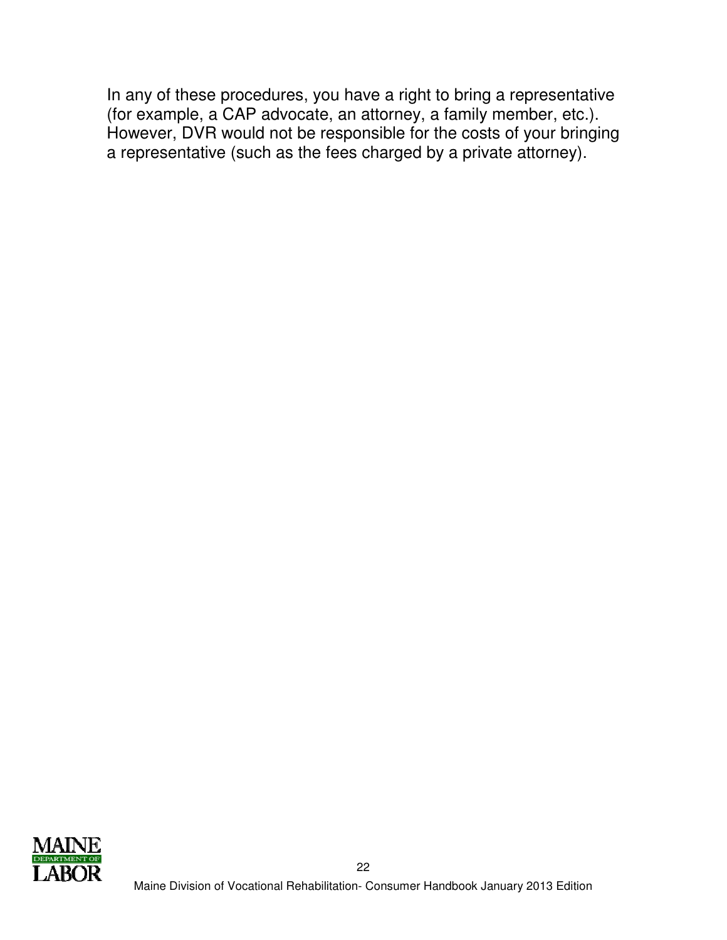In any of these procedures, you have a right to bring a representative (for example, a CAP advocate, an attorney, a family member, etc.). However, DVR would not be responsible for the costs of your bringing a representative (such as the fees charged by a private attorney).

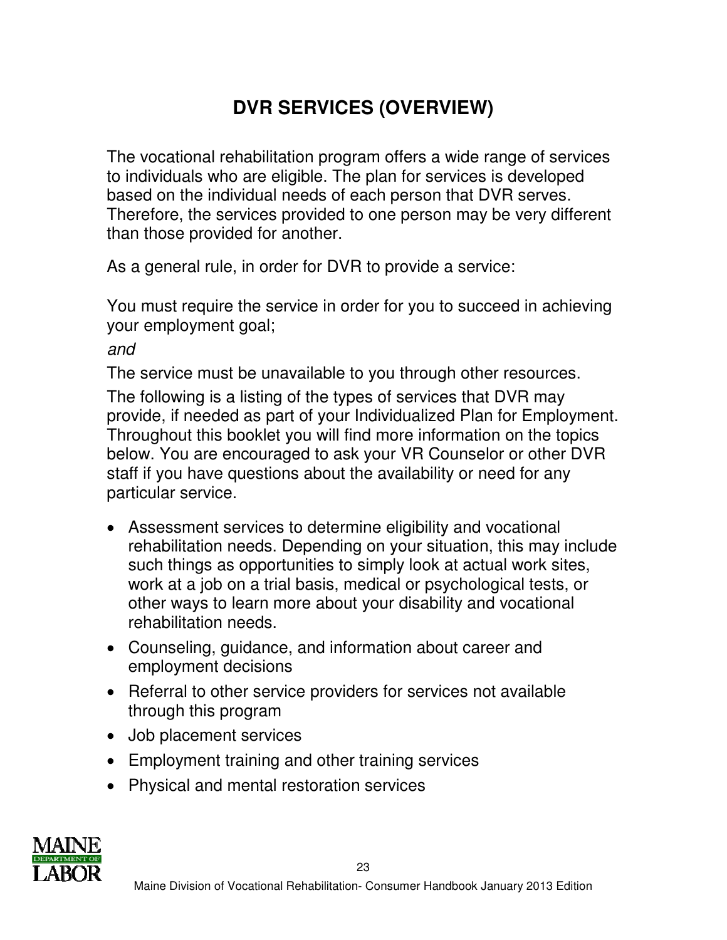# **DVR SERVICES (OVERVIEW)**

The vocational rehabilitation program offers a wide range of services to individuals who are eligible. The plan for services is developed based on the individual needs of each person that DVR serves. Therefore, the services provided to one person may be very different than those provided for another.

As a general rule, in order for DVR to provide a service:

You must require the service in order for you to succeed in achieving your employment goal;

and

The service must be unavailable to you through other resources. The following is a listing of the types of services that DVR may provide, if needed as part of your Individualized Plan for Employment. Throughout this booklet you will find more information on the topics below. You are encouraged to ask your VR Counselor or other DVR staff if you have questions about the availability or need for any particular service.

- Assessment services to determine eligibility and vocational rehabilitation needs. Depending on your situation, this may include such things as opportunities to simply look at actual work sites, work at a job on a trial basis, medical or psychological tests, or other ways to learn more about your disability and vocational rehabilitation needs.
- Counseling, guidance, and information about career and employment decisions
- Referral to other service providers for services not available through this program
- Job placement services
- Employment training and other training services
- Physical and mental restoration services

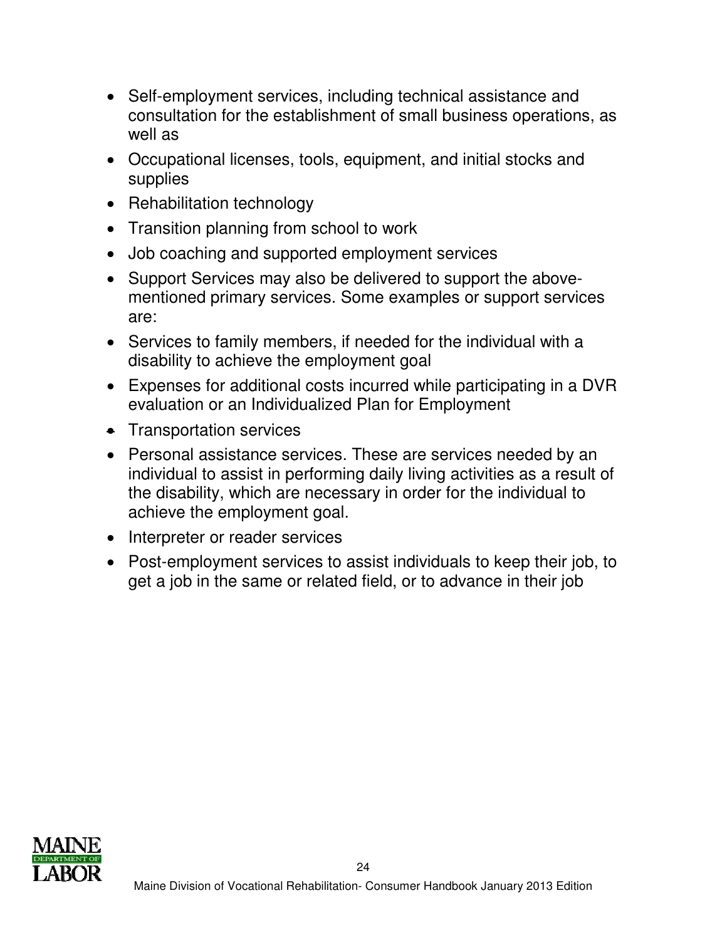- Self-employment services, including technical assistance and consultation for the establishment of small business operations, as well as
- Occupational licenses, tools, equipment, and initial stocks and supplies
- Rehabilitation technology
- Transition planning from school to work
- Job coaching and supported employment services
- Support Services may also be delivered to support the abovementioned primary services. Some examples or support services are:
- Services to family members, if needed for the individual with a disability to achieve the employment goal
- Expenses for additional costs incurred while participating in a DVR evaluation or an Individualized Plan for Employment
- Transportation services
- Personal assistance services. These are services needed by an individual to assist in performing daily living activities as a result of the disability, which are necessary in order for the individual to achieve the employment goal.
- Interpreter or reader services
- Post-employment services to assist individuals to keep their job, to get a job in the same or related field, or to advance in their job

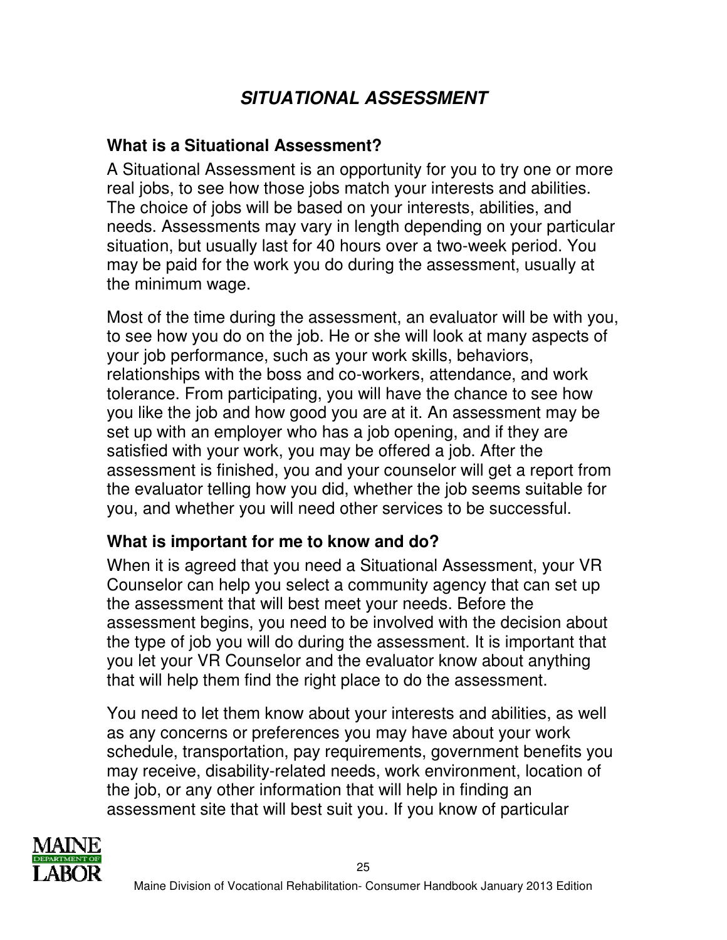# **SITUATIONAL ASSESSMENT**

### **What is a Situational Assessment?**

A Situational Assessment is an opportunity for you to try one or more real jobs, to see how those jobs match your interests and abilities. The choice of jobs will be based on your interests, abilities, and needs. Assessments may vary in length depending on your particular situation, but usually last for 40 hours over a two-week period. You may be paid for the work you do during the assessment, usually at the minimum wage.

Most of the time during the assessment, an evaluator will be with you, to see how you do on the job. He or she will look at many aspects of your job performance, such as your work skills, behaviors, relationships with the boss and co-workers, attendance, and work tolerance. From participating, you will have the chance to see how you like the job and how good you are at it. An assessment may be set up with an employer who has a job opening, and if they are satisfied with your work, you may be offered a job. After the assessment is finished, you and your counselor will get a report from the evaluator telling how you did, whether the job seems suitable for you, and whether you will need other services to be successful.

### **What is important for me to know and do?**

When it is agreed that you need a Situational Assessment, your VR Counselor can help you select a community agency that can set up the assessment that will best meet your needs. Before the assessment begins, you need to be involved with the decision about the type of job you will do during the assessment. It is important that you let your VR Counselor and the evaluator know about anything that will help them find the right place to do the assessment.

You need to let them know about your interests and abilities, as well as any concerns or preferences you may have about your work schedule, transportation, pay requirements, government benefits you may receive, disability-related needs, work environment, location of the job, or any other information that will help in finding an assessment site that will best suit you. If you know of particular

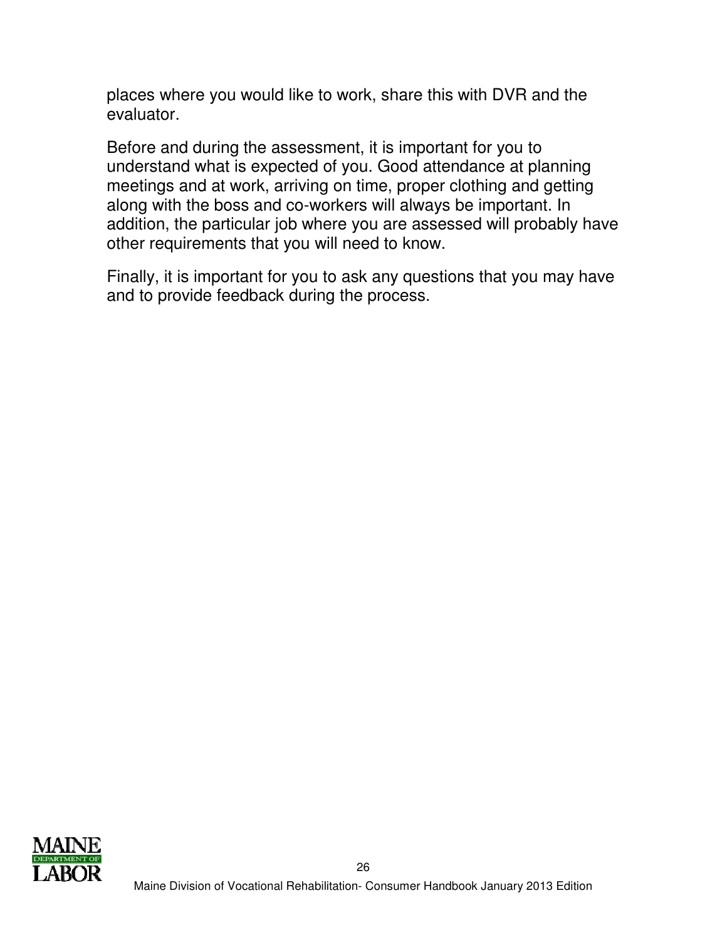places where you would like to work, share this with DVR and the evaluator.

Before and during the assessment, it is important for you to understand what is expected of you. Good attendance at planning meetings and at work, arriving on time, proper clothing and getting along with the boss and co-workers will always be important. In addition, the particular job where you are assessed will probably have other requirements that you will need to know.

Finally, it is important for you to ask any questions that you may have and to provide feedback during the process.

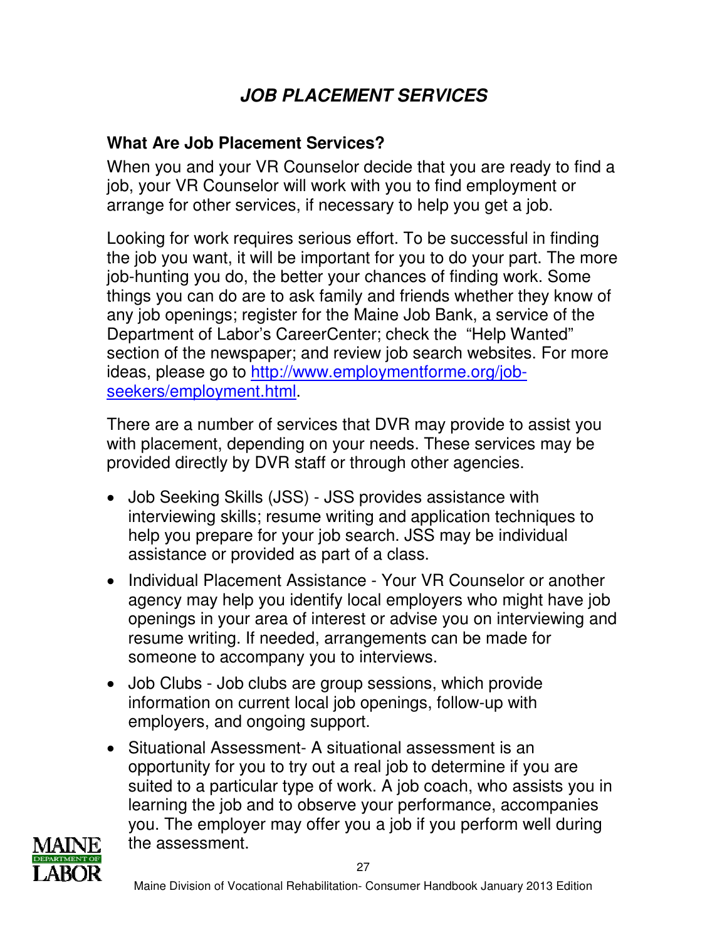# **JOB PLACEMENT SERVICES**

## **What Are Job Placement Services?**

When you and your VR Counselor decide that you are ready to find a job, your VR Counselor will work with you to find employment or arrange for other services, if necessary to help you get a job.

Looking for work requires serious effort. To be successful in finding the job you want, it will be important for you to do your part. The more job-hunting you do, the better your chances of finding work. Some things you can do are to ask family and friends whether they know of any job openings; register for the Maine Job Bank, a service of the Department of Labor's CareerCenter; check the "Help Wanted" section of the newspaper; and review job search websites. For more ideas, please go to http://www.employmentforme.org/jobseekers/employment.html.

There are a number of services that DVR may provide to assist you with placement, depending on your needs. These services may be provided directly by DVR staff or through other agencies.

- Job Seeking Skills (JSS) JSS provides assistance with interviewing skills; resume writing and application techniques to help you prepare for your job search. JSS may be individual assistance or provided as part of a class.
- Individual Placement Assistance Your VR Counselor or another agency may help you identify local employers who might have job openings in your area of interest or advise you on interviewing and resume writing. If needed, arrangements can be made for someone to accompany you to interviews.
- Job Clubs Job clubs are group sessions, which provide information on current local job openings, follow-up with employers, and ongoing support.
- Situational Assessment- A situational assessment is an opportunity for you to try out a real job to determine if you are suited to a particular type of work. A job coach, who assists you in learning the job and to observe your performance, accompanies you. The employer may offer you a job if you perform well during the assessment.

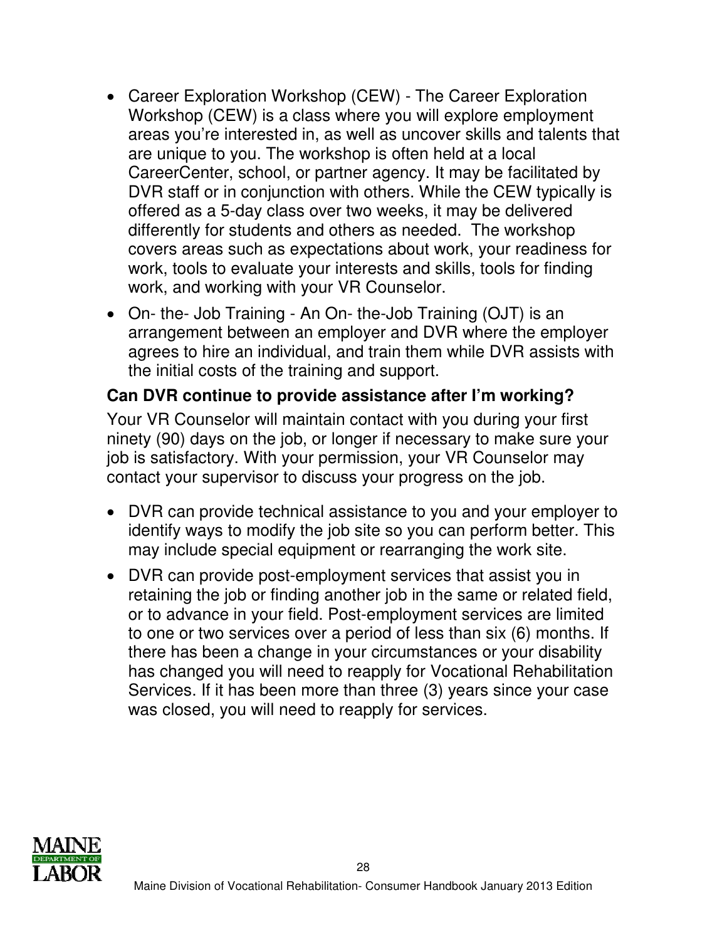- Career Exploration Workshop (CEW) The Career Exploration Workshop (CEW) is a class where you will explore employment areas you're interested in, as well as uncover skills and talents that are unique to you. The workshop is often held at a local CareerCenter, school, or partner agency. It may be facilitated by DVR staff or in conjunction with others. While the CEW typically is offered as a 5-day class over two weeks, it may be delivered differently for students and others as needed. The workshop covers areas such as expectations about work, your readiness for work, tools to evaluate your interests and skills, tools for finding work, and working with your VR Counselor.
- On- the- Job Training An On- the-Job Training (OJT) is an arrangement between an employer and DVR where the employer agrees to hire an individual, and train them while DVR assists with the initial costs of the training and support.

### **Can DVR continue to provide assistance after I'm working?**

Your VR Counselor will maintain contact with you during your first ninety (90) days on the job, or longer if necessary to make sure your job is satisfactory. With your permission, your VR Counselor may contact your supervisor to discuss your progress on the job.

- DVR can provide technical assistance to you and your employer to identify ways to modify the job site so you can perform better. This may include special equipment or rearranging the work site.
- DVR can provide post-employment services that assist you in retaining the job or finding another job in the same or related field, or to advance in your field. Post-employment services are limited to one or two services over a period of less than six (6) months. If there has been a change in your circumstances or your disability has changed you will need to reapply for Vocational Rehabilitation Services. If it has been more than three (3) years since your case was closed, you will need to reapply for services.

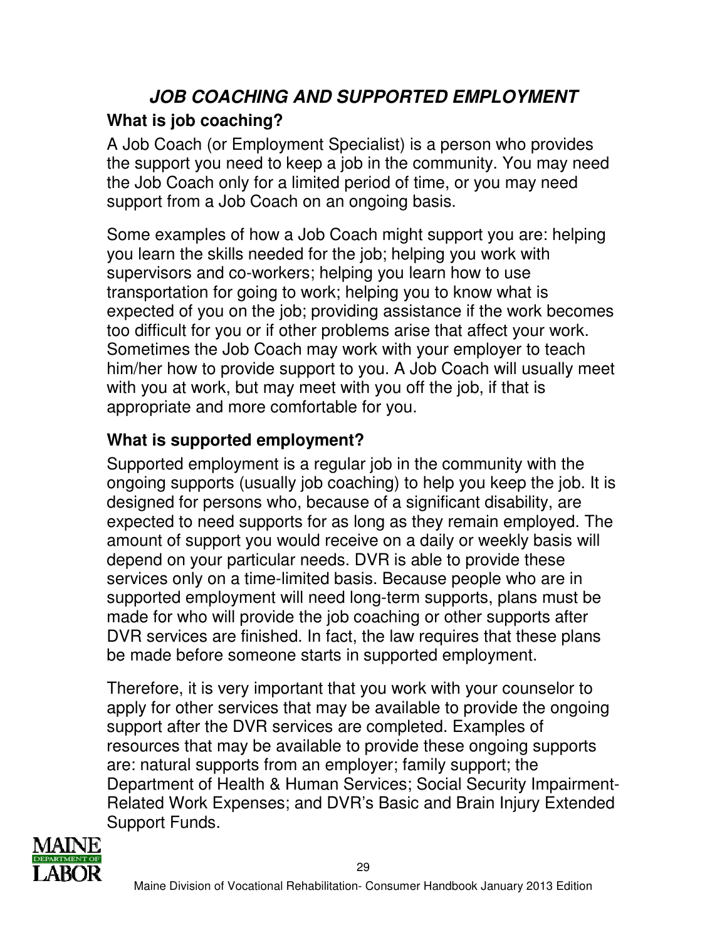# **JOB COACHING AND SUPPORTED EMPLOYMENT What is job coaching?**

A Job Coach (or Employment Specialist) is a person who provides the support you need to keep a job in the community. You may need the Job Coach only for a limited period of time, or you may need support from a Job Coach on an ongoing basis.

Some examples of how a Job Coach might support you are: helping you learn the skills needed for the job; helping you work with supervisors and co-workers; helping you learn how to use transportation for going to work; helping you to know what is expected of you on the job; providing assistance if the work becomes too difficult for you or if other problems arise that affect your work. Sometimes the Job Coach may work with your employer to teach him/her how to provide support to you. A Job Coach will usually meet with you at work, but may meet with you off the job, if that is appropriate and more comfortable for you.

## **What is supported employment?**

Supported employment is a regular job in the community with the ongoing supports (usually job coaching) to help you keep the job. It is designed for persons who, because of a significant disability, are expected to need supports for as long as they remain employed. The amount of support you would receive on a daily or weekly basis will depend on your particular needs. DVR is able to provide these services only on a time-limited basis. Because people who are in supported employment will need long-term supports, plans must be made for who will provide the job coaching or other supports after DVR services are finished. In fact, the law requires that these plans be made before someone starts in supported employment.

Therefore, it is very important that you work with your counselor to apply for other services that may be available to provide the ongoing support after the DVR services are completed. Examples of resources that may be available to provide these ongoing supports are: natural supports from an employer; family support; the Department of Health & Human Services; Social Security Impairment-Related Work Expenses; and DVR's Basic and Brain Injury Extended Support Funds.

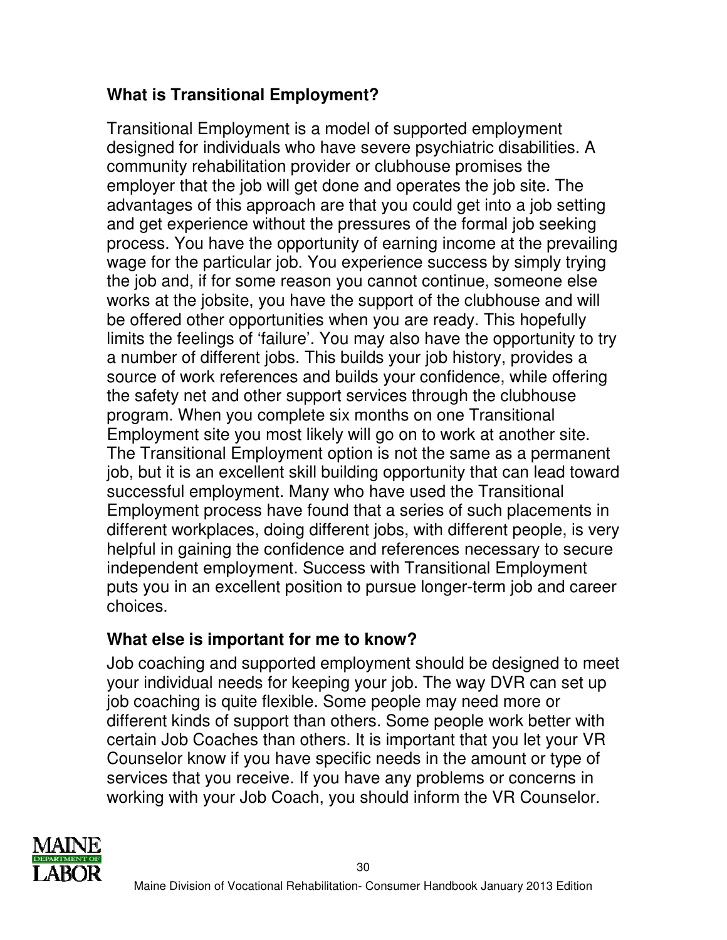## **What is Transitional Employment?**

Transitional Employment is a model of supported employment designed for individuals who have severe psychiatric disabilities. A community rehabilitation provider or clubhouse promises the employer that the job will get done and operates the job site. The advantages of this approach are that you could get into a job setting and get experience without the pressures of the formal job seeking process. You have the opportunity of earning income at the prevailing wage for the particular job. You experience success by simply trying the job and, if for some reason you cannot continue, someone else works at the jobsite, you have the support of the clubhouse and will be offered other opportunities when you are ready. This hopefully limits the feelings of 'failure'. You may also have the opportunity to try a number of different jobs. This builds your job history, provides a source of work references and builds your confidence, while offering the safety net and other support services through the clubhouse program. When you complete six months on one Transitional Employment site you most likely will go on to work at another site. The Transitional Employment option is not the same as a permanent job, but it is an excellent skill building opportunity that can lead toward successful employment. Many who have used the Transitional Employment process have found that a series of such placements in different workplaces, doing different jobs, with different people, is very helpful in gaining the confidence and references necessary to secure independent employment. Success with Transitional Employment puts you in an excellent position to pursue longer-term job and career choices.

### **What else is important for me to know?**

Job coaching and supported employment should be designed to meet your individual needs for keeping your job. The way DVR can set up job coaching is quite flexible. Some people may need more or different kinds of support than others. Some people work better with certain Job Coaches than others. It is important that you let your VR Counselor know if you have specific needs in the amount or type of services that you receive. If you have any problems or concerns in working with your Job Coach, you should inform the VR Counselor.

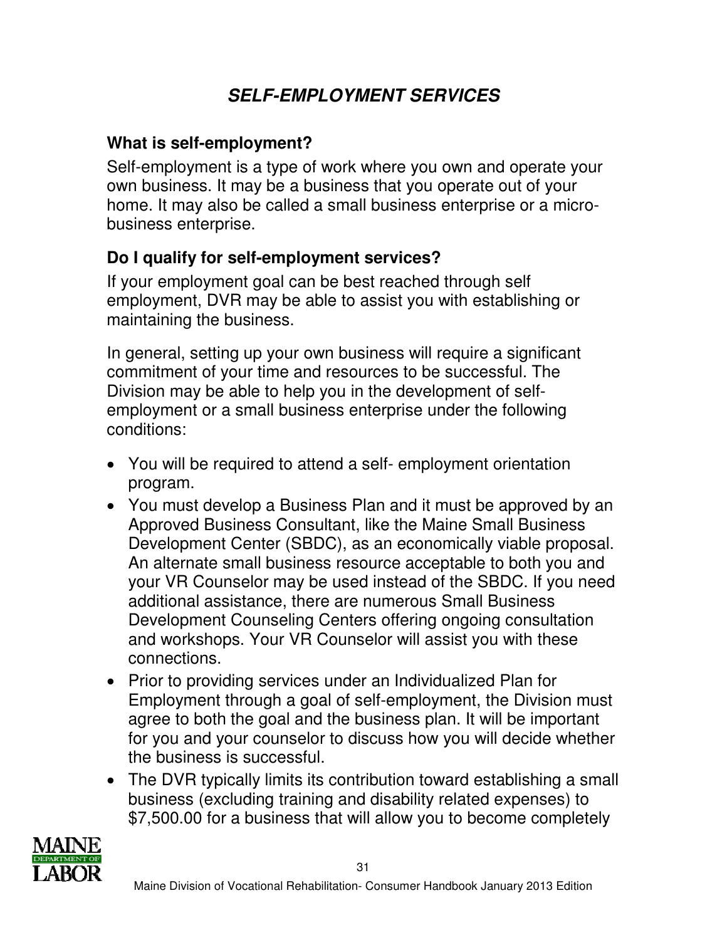# **SELF-EMPLOYMENT SERVICES**

### **What is self-employment?**

Self-employment is a type of work where you own and operate your own business. It may be a business that you operate out of your home. It may also be called a small business enterprise or a microbusiness enterprise.

### **Do I qualify for self-employment services?**

If your employment goal can be best reached through self employment, DVR may be able to assist you with establishing or maintaining the business.

In general, setting up your own business will require a significant commitment of your time and resources to be successful. The Division may be able to help you in the development of selfemployment or a small business enterprise under the following conditions:

- You will be required to attend a self- employment orientation program.
- You must develop a Business Plan and it must be approved by an Approved Business Consultant, like the Maine Small Business Development Center (SBDC), as an economically viable proposal. An alternate small business resource acceptable to both you and your VR Counselor may be used instead of the SBDC. If you need additional assistance, there are numerous Small Business Development Counseling Centers offering ongoing consultation and workshops. Your VR Counselor will assist you with these connections.
- Prior to providing services under an Individualized Plan for Employment through a goal of self-employment, the Division must agree to both the goal and the business plan. It will be important for you and your counselor to discuss how you will decide whether the business is successful.
- The DVR typically limits its contribution toward establishing a small business (excluding training and disability related expenses) to \$7,500.00 for a business that will allow you to become completely

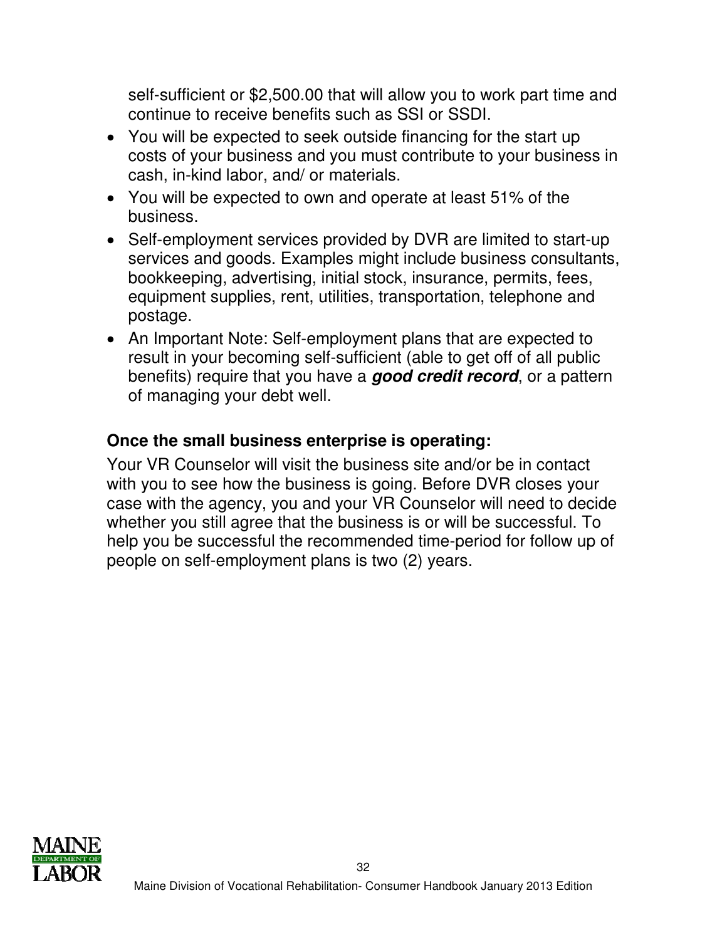self-sufficient or \$2,500.00 that will allow you to work part time and continue to receive benefits such as SSI or SSDI.

- You will be expected to seek outside financing for the start up costs of your business and you must contribute to your business in cash, in-kind labor, and/ or materials.
- You will be expected to own and operate at least 51% of the business.
- Self-employment services provided by DVR are limited to start-up services and goods. Examples might include business consultants, bookkeeping, advertising, initial stock, insurance, permits, fees, equipment supplies, rent, utilities, transportation, telephone and postage.
- An Important Note: Self-employment plans that are expected to result in your becoming self-sufficient (able to get off of all public benefits) require that you have a **good credit record**, or a pattern of managing your debt well.

### **Once the small business enterprise is operating:**

Your VR Counselor will visit the business site and/or be in contact with you to see how the business is going. Before DVR closes your case with the agency, you and your VR Counselor will need to decide whether you still agree that the business is or will be successful. To help you be successful the recommended time-period for follow up of people on self-employment plans is two (2) years.

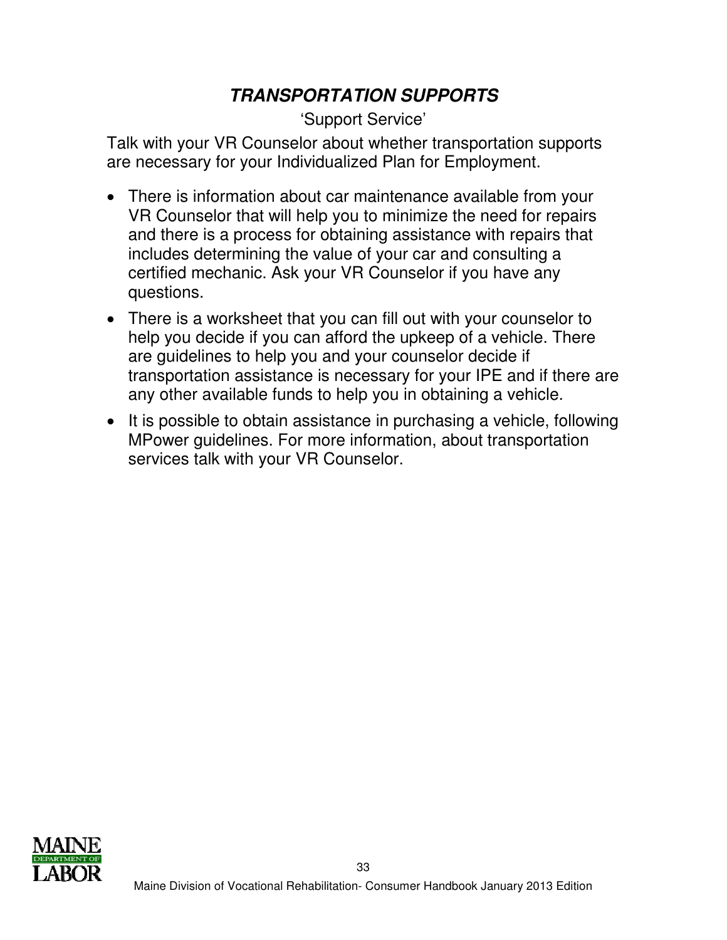# **TRANSPORTATION SUPPORTS**

### 'Support Service'

Talk with your VR Counselor about whether transportation supports are necessary for your Individualized Plan for Employment.

- There is information about car maintenance available from your VR Counselor that will help you to minimize the need for repairs and there is a process for obtaining assistance with repairs that includes determining the value of your car and consulting a certified mechanic. Ask your VR Counselor if you have any questions.
- There is a worksheet that you can fill out with your counselor to help you decide if you can afford the upkeep of a vehicle. There are guidelines to help you and your counselor decide if transportation assistance is necessary for your IPE and if there are any other available funds to help you in obtaining a vehicle.
- It is possible to obtain assistance in purchasing a vehicle, following MPower guidelines. For more information, about transportation services talk with your VR Counselor.

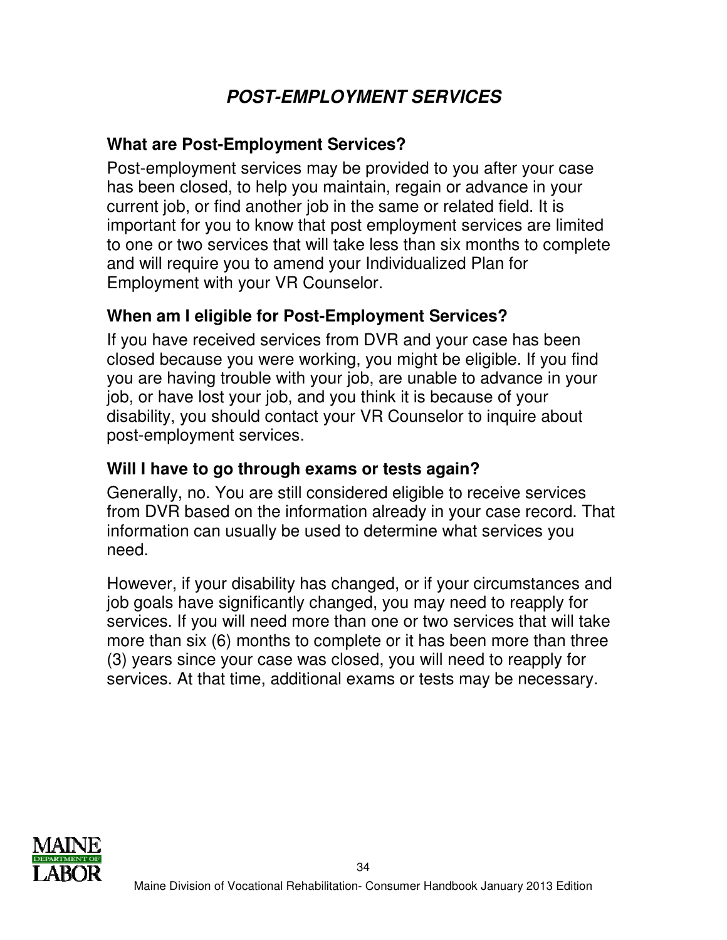# **POST-EMPLOYMENT SERVICES**

### **What are Post-Employment Services?**

Post-employment services may be provided to you after your case has been closed, to help you maintain, regain or advance in your current job, or find another job in the same or related field. It is important for you to know that post employment services are limited to one or two services that will take less than six months to complete and will require you to amend your Individualized Plan for Employment with your VR Counselor.

### **When am I eligible for Post-Employment Services?**

If you have received services from DVR and your case has been closed because you were working, you might be eligible. If you find you are having trouble with your job, are unable to advance in your job, or have lost your job, and you think it is because of your disability, you should contact your VR Counselor to inquire about post-employment services.

### **Will I have to go through exams or tests again?**

Generally, no. You are still considered eligible to receive services from DVR based on the information already in your case record. That information can usually be used to determine what services you need.

However, if your disability has changed, or if your circumstances and job goals have significantly changed, you may need to reapply for services. If you will need more than one or two services that will take more than six (6) months to complete or it has been more than three (3) years since your case was closed, you will need to reapply for services. At that time, additional exams or tests may be necessary.

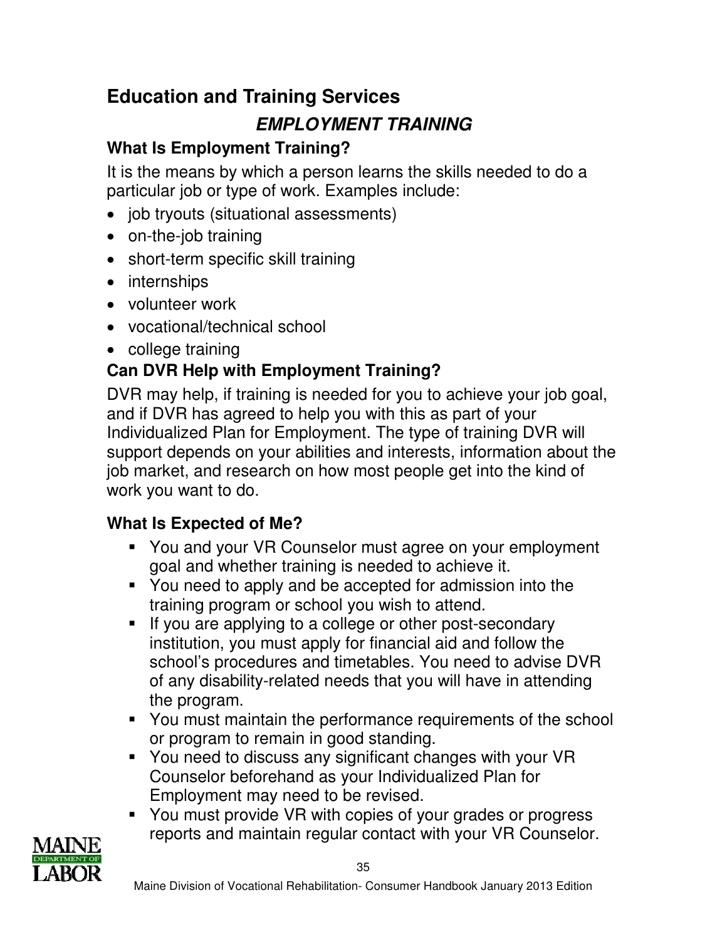# **Education and Training Services**

# **EMPLOYMENT TRAINING**

# **What Is Employment Training?**

It is the means by which a person learns the skills needed to do a particular job or type of work. Examples include:

- job tryouts (situational assessments)
- on-the-job training
- short-term specific skill training
- internships
- volunteer work
- vocational/technical school
- college training

## **Can DVR Help with Employment Training?**

DVR may help, if training is needed for you to achieve your job goal, and if DVR has agreed to help you with this as part of your Individualized Plan for Employment. The type of training DVR will support depends on your abilities and interests, information about the job market, and research on how most people get into the kind of work you want to do.

## **What Is Expected of Me?**

- You and your VR Counselor must agree on your employment goal and whether training is needed to achieve it.
- You need to apply and be accepted for admission into the training program or school you wish to attend.
- If you are applying to a college or other post-secondary institution, you must apply for financial aid and follow the school's procedures and timetables. You need to advise DVR of any disability-related needs that you will have in attending the program.
- You must maintain the performance requirements of the school or program to remain in good standing.
- You need to discuss any significant changes with your VR Counselor beforehand as your Individualized Plan for Employment may need to be revised.
- You must provide VR with copies of your grades or progress reports and maintain regular contact with your VR Counselor.

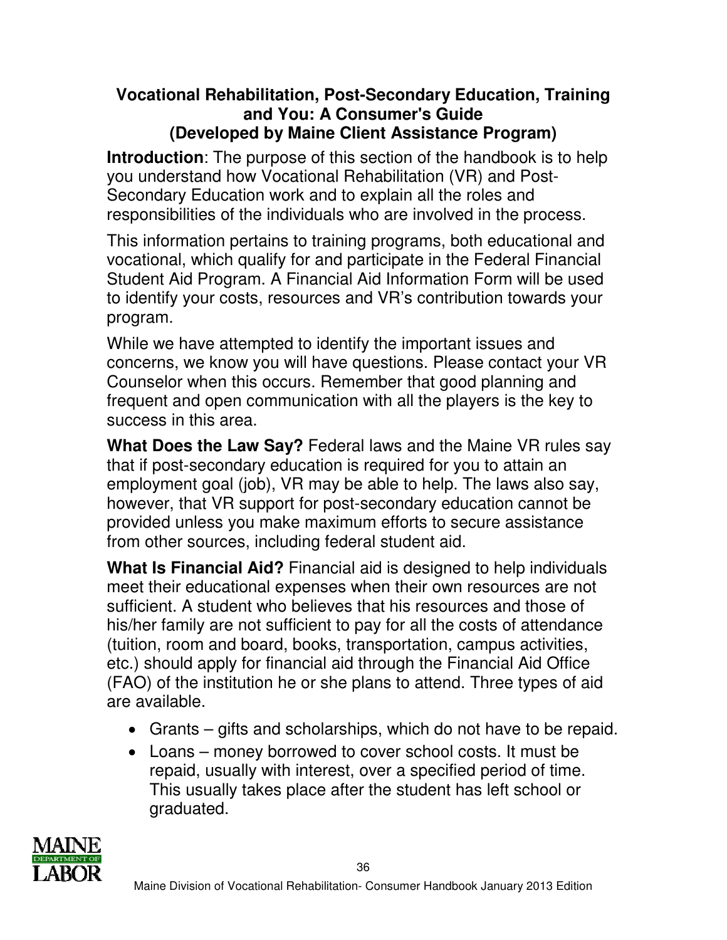### **Vocational Rehabilitation, Post-Secondary Education, Training and You: A Consumer's Guide (Developed by Maine Client Assistance Program)**

**Introduction**: The purpose of this section of the handbook is to help you understand how Vocational Rehabilitation (VR) and Post-Secondary Education work and to explain all the roles and responsibilities of the individuals who are involved in the process.

This information pertains to training programs, both educational and vocational, which qualify for and participate in the Federal Financial Student Aid Program. A Financial Aid Information Form will be used to identify your costs, resources and VR's contribution towards your program.

While we have attempted to identify the important issues and concerns, we know you will have questions. Please contact your VR Counselor when this occurs. Remember that good planning and frequent and open communication with all the players is the key to success in this area.

**What Does the Law Say?** Federal laws and the Maine VR rules say that if post-secondary education is required for you to attain an employment goal (job), VR may be able to help. The laws also say, however, that VR support for post-secondary education cannot be provided unless you make maximum efforts to secure assistance from other sources, including federal student aid.

**What Is Financial Aid?** Financial aid is designed to help individuals meet their educational expenses when their own resources are not sufficient. A student who believes that his resources and those of his/her family are not sufficient to pay for all the costs of attendance (tuition, room and board, books, transportation, campus activities, etc.) should apply for financial aid through the Financial Aid Office (FAO) of the institution he or she plans to attend. Three types of aid are available.

- Grants gifts and scholarships, which do not have to be repaid.
- Loans money borrowed to cover school costs. It must be repaid, usually with interest, over a specified period of time. This usually takes place after the student has left school or graduated.

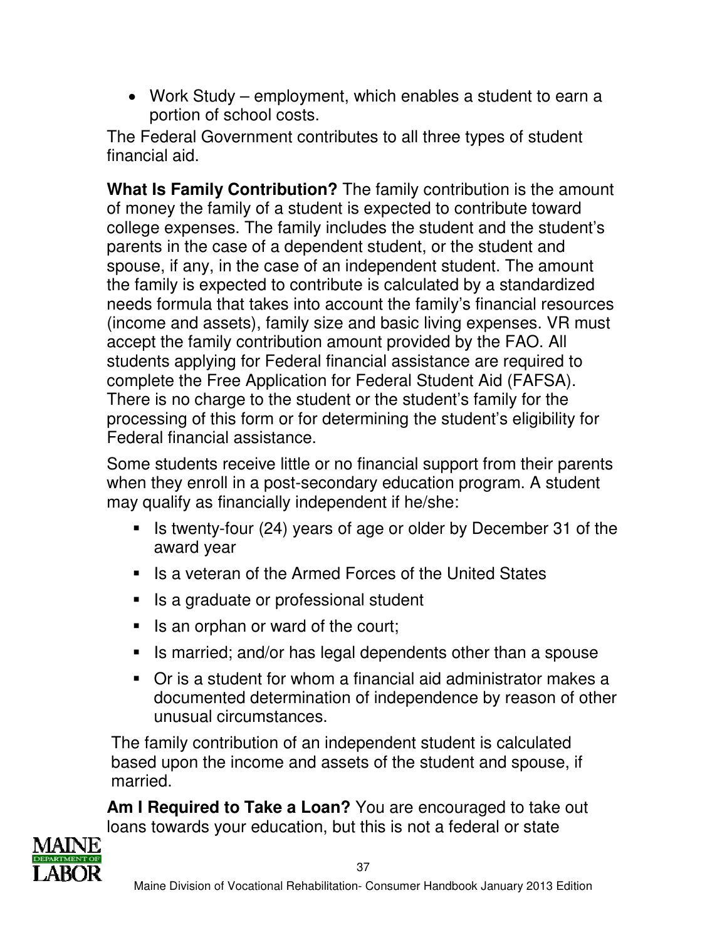• Work Study – employment, which enables a student to earn a portion of school costs.

The Federal Government contributes to all three types of student financial aid.

**What Is Family Contribution?** The family contribution is the amount of money the family of a student is expected to contribute toward college expenses. The family includes the student and the student's parents in the case of a dependent student, or the student and spouse, if any, in the case of an independent student. The amount the family is expected to contribute is calculated by a standardized needs formula that takes into account the family's financial resources (income and assets), family size and basic living expenses. VR must accept the family contribution amount provided by the FAO. All students applying for Federal financial assistance are required to complete the Free Application for Federal Student Aid (FAFSA). There is no charge to the student or the student's family for the processing of this form or for determining the student's eligibility for Federal financial assistance.

Some students receive little or no financial support from their parents when they enroll in a post-secondary education program. A student may qualify as financially independent if he/she:

- If Is twenty-four (24) years of age or older by December 31 of the award year
- Is a veteran of the Armed Forces of the United States
- Is a graduate or professional student
- Is an orphan or ward of the court;
- Is married; and/or has legal dependents other than a spouse
- Or is a student for whom a financial aid administrator makes a documented determination of independence by reason of other unusual circumstances.

The family contribution of an independent student is calculated based upon the income and assets of the student and spouse, if married.

**Am I Required to Take a Loan?** You are encouraged to take out loans towards your education, but this is not a federal or state

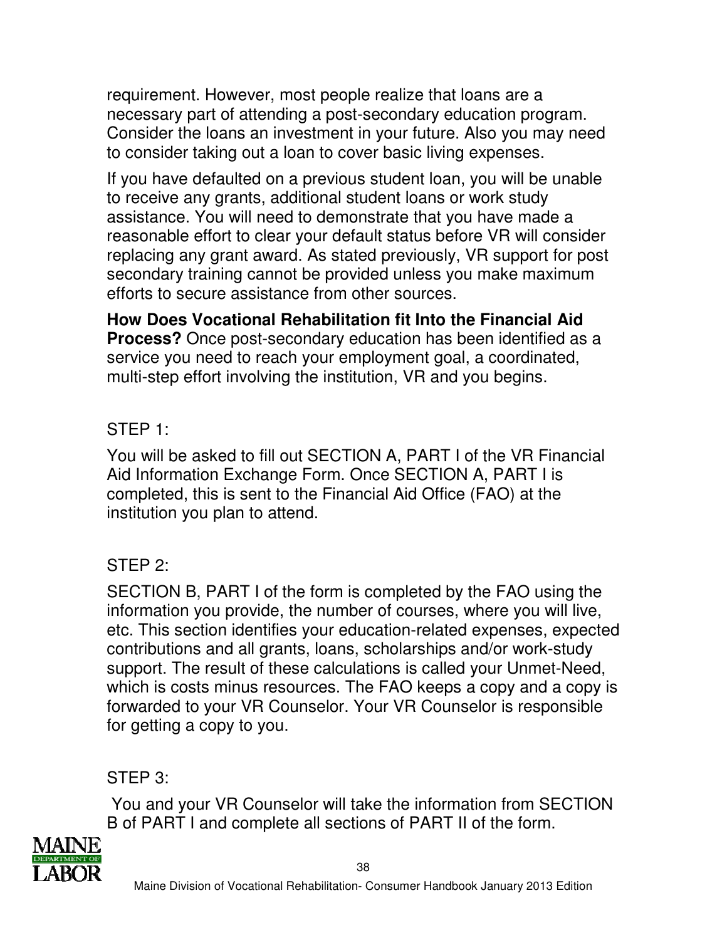requirement. However, most people realize that loans are a necessary part of attending a post-secondary education program. Consider the loans an investment in your future. Also you may need to consider taking out a loan to cover basic living expenses.

If you have defaulted on a previous student loan, you will be unable to receive any grants, additional student loans or work study assistance. You will need to demonstrate that you have made a reasonable effort to clear your default status before VR will consider replacing any grant award. As stated previously, VR support for post secondary training cannot be provided unless you make maximum efforts to secure assistance from other sources.

**How Does Vocational Rehabilitation fit Into the Financial Aid Process?** Once post-secondary education has been identified as a service you need to reach your employment goal, a coordinated, multi-step effort involving the institution, VR and you begins.

## STEP 1:

You will be asked to fill out SECTION A, PART I of the VR Financial Aid Information Exchange Form. Once SECTION A, PART I is completed, this is sent to the Financial Aid Office (FAO) at the institution you plan to attend.

## STEP 2:

SECTION B, PART I of the form is completed by the FAO using the information you provide, the number of courses, where you will live, etc. This section identifies your education-related expenses, expected contributions and all grants, loans, scholarships and/or work-study support. The result of these calculations is called your Unmet-Need, which is costs minus resources. The FAO keeps a copy and a copy is forwarded to your VR Counselor. Your VR Counselor is responsible for getting a copy to you.

STEP 3:

 You and your VR Counselor will take the information from SECTION B of PART I and complete all sections of PART II of the form.

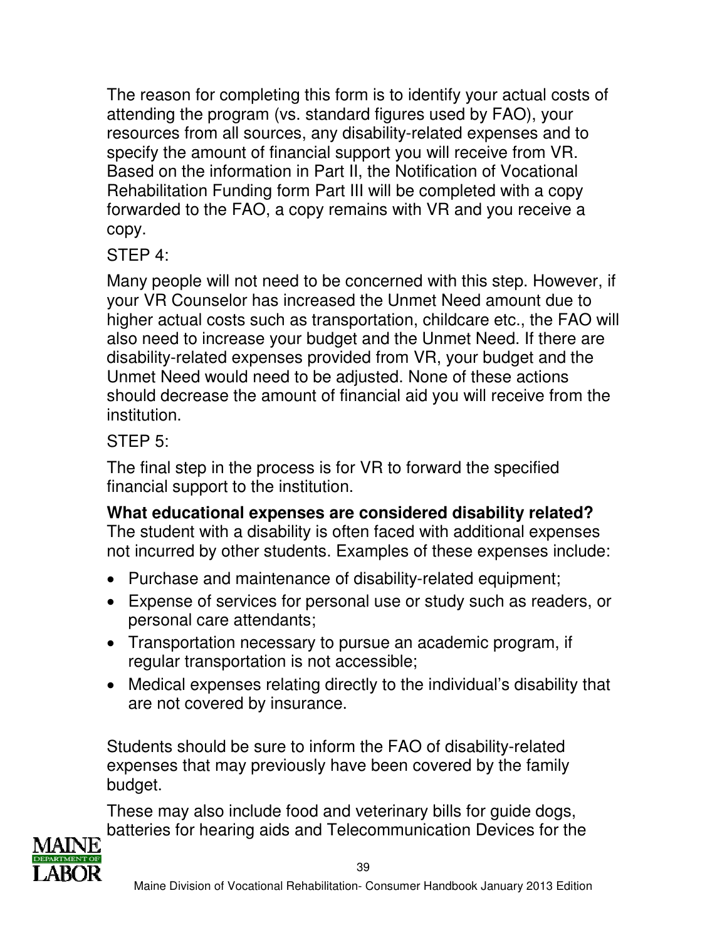The reason for completing this form is to identify your actual costs of attending the program (vs. standard figures used by FAO), your resources from all sources, any disability-related expenses and to specify the amount of financial support you will receive from VR. Based on the information in Part II, the Notification of Vocational Rehabilitation Funding form Part III will be completed with a copy forwarded to the FAO, a copy remains with VR and you receive a copy.

STEP 4:

Many people will not need to be concerned with this step. However, if your VR Counselor has increased the Unmet Need amount due to higher actual costs such as transportation, childcare etc., the FAO will also need to increase your budget and the Unmet Need. If there are disability-related expenses provided from VR, your budget and the Unmet Need would need to be adjusted. None of these actions should decrease the amount of financial aid you will receive from the institution.

## STEP 5:

The final step in the process is for VR to forward the specified financial support to the institution.

**What educational expenses are considered disability related?** The student with a disability is often faced with additional expenses not incurred by other students. Examples of these expenses include:

- Purchase and maintenance of disability-related equipment;
- Expense of services for personal use or study such as readers, or personal care attendants;
- Transportation necessary to pursue an academic program, if regular transportation is not accessible;
- Medical expenses relating directly to the individual's disability that are not covered by insurance.

Students should be sure to inform the FAO of disability-related expenses that may previously have been covered by the family budget.

These may also include food and veterinary bills for guide dogs, batteries for hearing aids and Telecommunication Devices for the

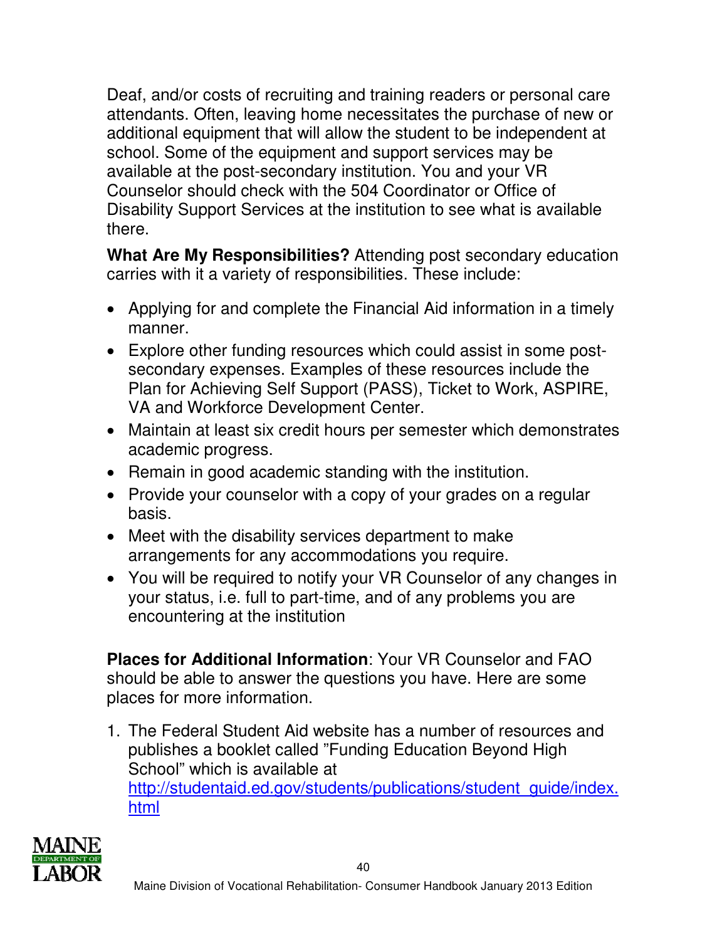Deaf, and/or costs of recruiting and training readers or personal care attendants. Often, leaving home necessitates the purchase of new or additional equipment that will allow the student to be independent at school. Some of the equipment and support services may be available at the post-secondary institution. You and your VR Counselor should check with the 504 Coordinator or Office of Disability Support Services at the institution to see what is available there.

**What Are My Responsibilities?** Attending post secondary education carries with it a variety of responsibilities. These include:

- Applying for and complete the Financial Aid information in a timely manner.
- Explore other funding resources which could assist in some postsecondary expenses. Examples of these resources include the Plan for Achieving Self Support (PASS), Ticket to Work, ASPIRE, VA and Workforce Development Center.
- Maintain at least six credit hours per semester which demonstrates academic progress.
- Remain in good academic standing with the institution.
- Provide your counselor with a copy of your grades on a regular basis.
- Meet with the disability services department to make arrangements for any accommodations you require.
- You will be required to notify your VR Counselor of any changes in your status, i.e. full to part-time, and of any problems you are encountering at the institution

**Places for Additional Information**: Your VR Counselor and FAO should be able to answer the questions you have. Here are some places for more information.

1. The Federal Student Aid website has a number of resources and publishes a booklet called "Funding Education Beyond High School" which is available at http://studentaid.ed.gov/students/publications/student\_guide/index. html

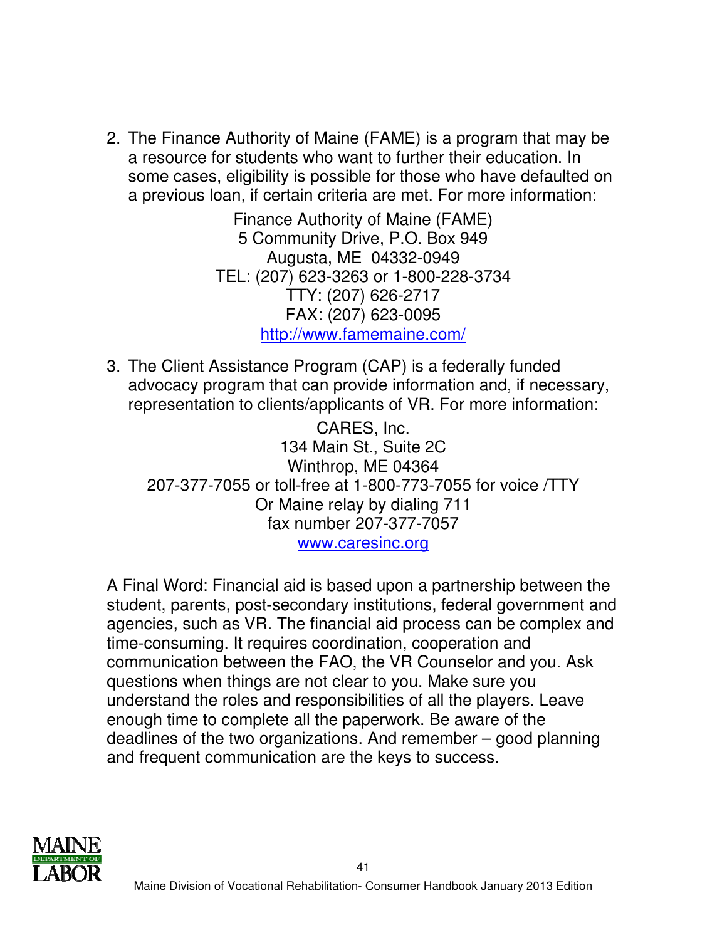2. The Finance Authority of Maine (FAME) is a program that may be a resource for students who want to further their education. In some cases, eligibility is possible for those who have defaulted on a previous loan, if certain criteria are met. For more information:

> Finance Authority of Maine (FAME) 5 Community Drive, P.O. Box 949 Augusta, ME 04332-0949 TEL: (207) 623-3263 or 1-800-228-3734 TTY: (207) 626-2717 FAX: (207) 623-0095 http://www.famemaine.com/

3. The Client Assistance Program (CAP) is a federally funded advocacy program that can provide information and, if necessary, representation to clients/applicants of VR. For more information:

CARES, Inc. 134 Main St., Suite 2C Winthrop, ME 04364 207-377-7055 or toll-free at 1-800-773-7055 for voice /TTY Or Maine relay by dialing 711 fax number 207-377-7057 www.caresinc.org

A Final Word: Financial aid is based upon a partnership between the student, parents, post-secondary institutions, federal government and agencies, such as VR. The financial aid process can be complex and time-consuming. It requires coordination, cooperation and communication between the FAO, the VR Counselor and you. Ask questions when things are not clear to you. Make sure you understand the roles and responsibilities of all the players. Leave enough time to complete all the paperwork. Be aware of the deadlines of the two organizations. And remember – good planning and frequent communication are the keys to success.

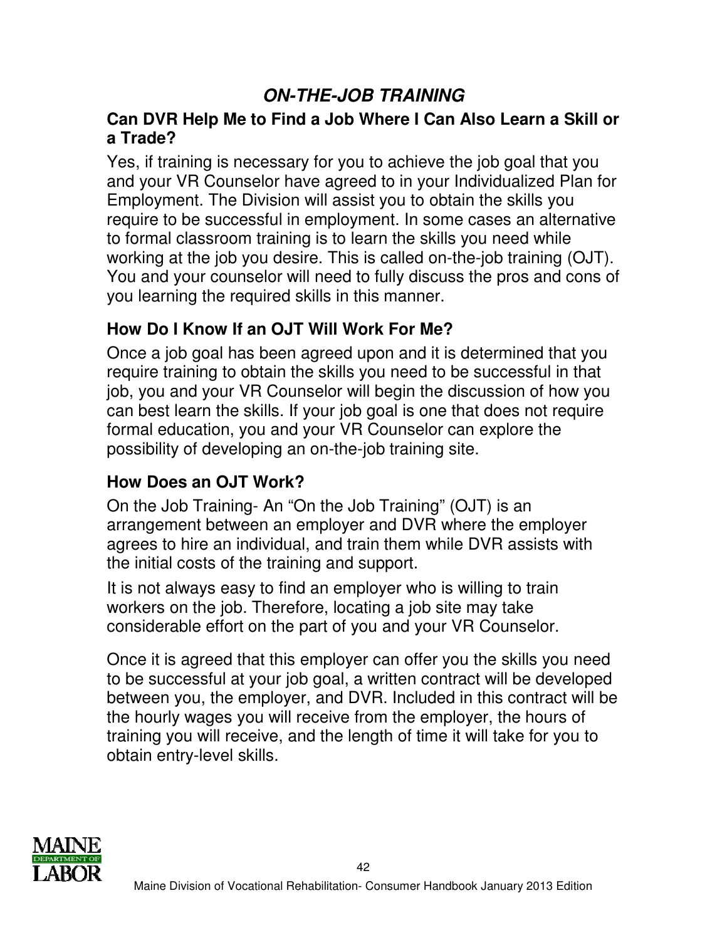# **ON-THE-JOB TRAINING**

### **Can DVR Help Me to Find a Job Where I Can Also Learn a Skill or a Trade?**

Yes, if training is necessary for you to achieve the job goal that you and your VR Counselor have agreed to in your Individualized Plan for Employment. The Division will assist you to obtain the skills you require to be successful in employment. In some cases an alternative to formal classroom training is to learn the skills you need while working at the job you desire. This is called on-the-job training (OJT). You and your counselor will need to fully discuss the pros and cons of you learning the required skills in this manner.

## **How Do I Know If an OJT Will Work For Me?**

Once a job goal has been agreed upon and it is determined that you require training to obtain the skills you need to be successful in that job, you and your VR Counselor will begin the discussion of how you can best learn the skills. If your job goal is one that does not require formal education, you and your VR Counselor can explore the possibility of developing an on-the-job training site.

### **How Does an OJT Work?**

On the Job Training- An "On the Job Training" (OJT) is an arrangement between an employer and DVR where the employer agrees to hire an individual, and train them while DVR assists with the initial costs of the training and support.

It is not always easy to find an employer who is willing to train workers on the job. Therefore, locating a job site may take considerable effort on the part of you and your VR Counselor.

Once it is agreed that this employer can offer you the skills you need to be successful at your job goal, a written contract will be developed between you, the employer, and DVR. Included in this contract will be the hourly wages you will receive from the employer, the hours of training you will receive, and the length of time it will take for you to obtain entry-level skills.

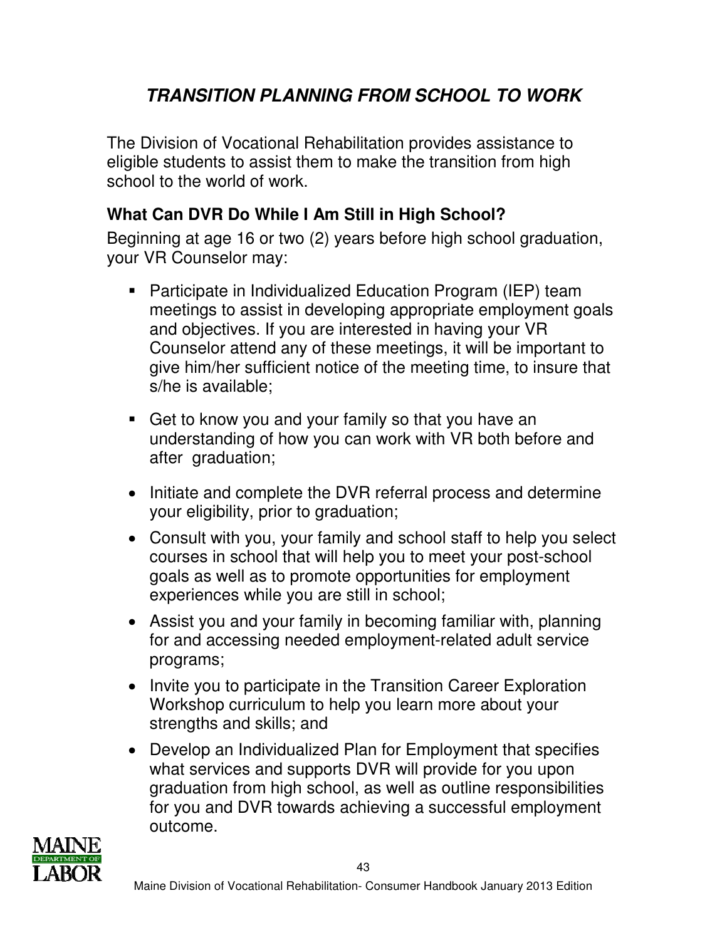# **TRANSITION PLANNING FROM SCHOOL TO WORK**

The Division of Vocational Rehabilitation provides assistance to eligible students to assist them to make the transition from high school to the world of work.

## **What Can DVR Do While I Am Still in High School?**

Beginning at age 16 or two (2) years before high school graduation, your VR Counselor may:

- Participate in Individualized Education Program (IEP) team meetings to assist in developing appropriate employment goals and objectives. If you are interested in having your VR Counselor attend any of these meetings, it will be important to give him/her sufficient notice of the meeting time, to insure that s/he is available;
- Get to know you and your family so that you have an understanding of how you can work with VR both before and after graduation;
- Initiate and complete the DVR referral process and determine your eligibility, prior to graduation;
- Consult with you, your family and school staff to help you select courses in school that will help you to meet your post-school goals as well as to promote opportunities for employment experiences while you are still in school;
- Assist you and your family in becoming familiar with, planning for and accessing needed employment-related adult service programs;
- Invite you to participate in the Transition Career Exploration Workshop curriculum to help you learn more about your strengths and skills; and
- Develop an Individualized Plan for Employment that specifies what services and supports DVR will provide for you upon graduation from high school, as well as outline responsibilities for you and DVR towards achieving a successful employment outcome.

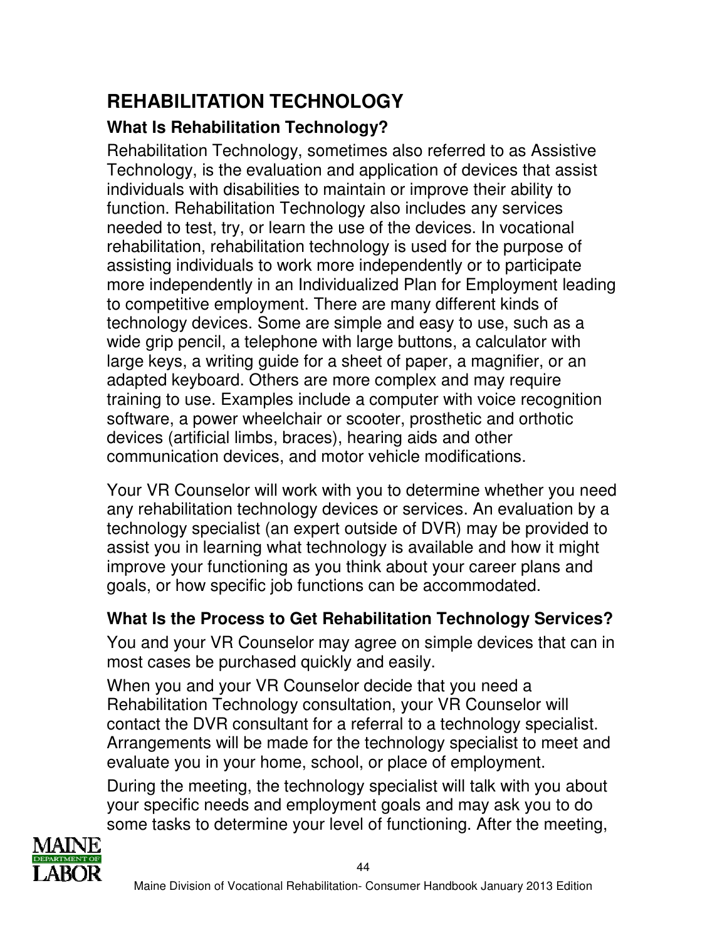# **REHABILITATION TECHNOLOGY What Is Rehabilitation Technology?**

Rehabilitation Technology, sometimes also referred to as Assistive Technology, is the evaluation and application of devices that assist individuals with disabilities to maintain or improve their ability to function. Rehabilitation Technology also includes any services needed to test, try, or learn the use of the devices. In vocational rehabilitation, rehabilitation technology is used for the purpose of assisting individuals to work more independently or to participate more independently in an Individualized Plan for Employment leading to competitive employment. There are many different kinds of technology devices. Some are simple and easy to use, such as a wide grip pencil, a telephone with large buttons, a calculator with large keys, a writing guide for a sheet of paper, a magnifier, or an adapted keyboard. Others are more complex and may require training to use. Examples include a computer with voice recognition software, a power wheelchair or scooter, prosthetic and orthotic devices (artificial limbs, braces), hearing aids and other communication devices, and motor vehicle modifications.

Your VR Counselor will work with you to determine whether you need any rehabilitation technology devices or services. An evaluation by a technology specialist (an expert outside of DVR) may be provided to assist you in learning what technology is available and how it might improve your functioning as you think about your career plans and goals, or how specific job functions can be accommodated.

## **What Is the Process to Get Rehabilitation Technology Services?**

You and your VR Counselor may agree on simple devices that can in most cases be purchased quickly and easily.

When you and your VR Counselor decide that you need a Rehabilitation Technology consultation, your VR Counselor will contact the DVR consultant for a referral to a technology specialist. Arrangements will be made for the technology specialist to meet and evaluate you in your home, school, or place of employment.

During the meeting, the technology specialist will talk with you about your specific needs and employment goals and may ask you to do some tasks to determine your level of functioning. After the meeting,

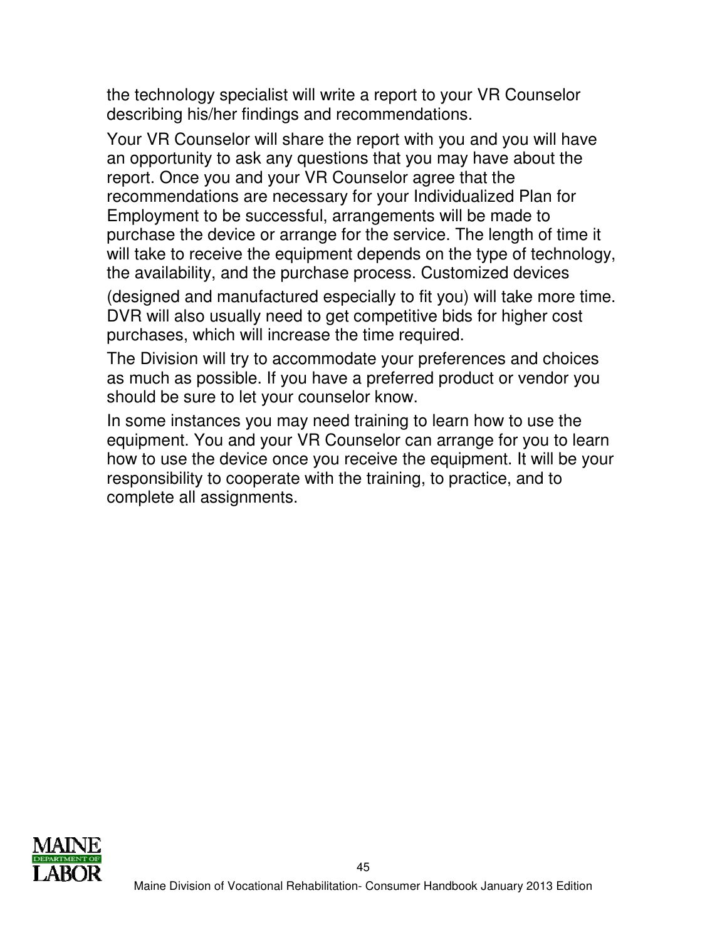the technology specialist will write a report to your VR Counselor describing his/her findings and recommendations.

Your VR Counselor will share the report with you and you will have an opportunity to ask any questions that you may have about the report. Once you and your VR Counselor agree that the recommendations are necessary for your Individualized Plan for Employment to be successful, arrangements will be made to purchase the device or arrange for the service. The length of time it will take to receive the equipment depends on the type of technology, the availability, and the purchase process. Customized devices

(designed and manufactured especially to fit you) will take more time. DVR will also usually need to get competitive bids for higher cost purchases, which will increase the time required.

The Division will try to accommodate your preferences and choices as much as possible. If you have a preferred product or vendor you should be sure to let your counselor know.

In some instances you may need training to learn how to use the equipment. You and your VR Counselor can arrange for you to learn how to use the device once you receive the equipment. It will be your responsibility to cooperate with the training, to practice, and to complete all assignments.

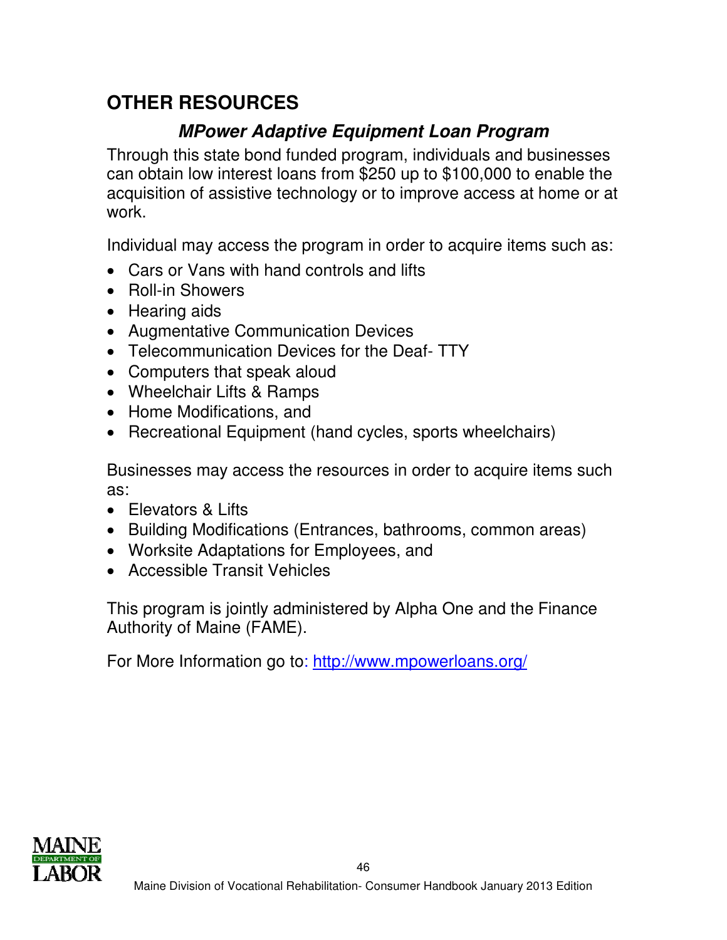# **OTHER RESOURCES**

# **MPower Adaptive Equipment Loan Program**

Through this state bond funded program, individuals and businesses can obtain low interest loans from \$250 up to \$100,000 to enable the acquisition of assistive technology or to improve access at home or at work.

Individual may access the program in order to acquire items such as:

- Cars or Vans with hand controls and lifts
- Roll-in Showers
- Hearing aids
- Augmentative Communication Devices
- Telecommunication Devices for the Deaf- TTY
- Computers that speak aloud
- Wheelchair Lifts & Ramps
- Home Modifications, and
- Recreational Equipment (hand cycles, sports wheelchairs)

Businesses may access the resources in order to acquire items such as:

- Elevators & Lifts
- Building Modifications (Entrances, bathrooms, common areas)
- Worksite Adaptations for Employees, and
- Accessible Transit Vehicles

This program is jointly administered by Alpha One and the Finance Authority of Maine (FAME).

For More Information go to: http://www.mpowerloans.org/

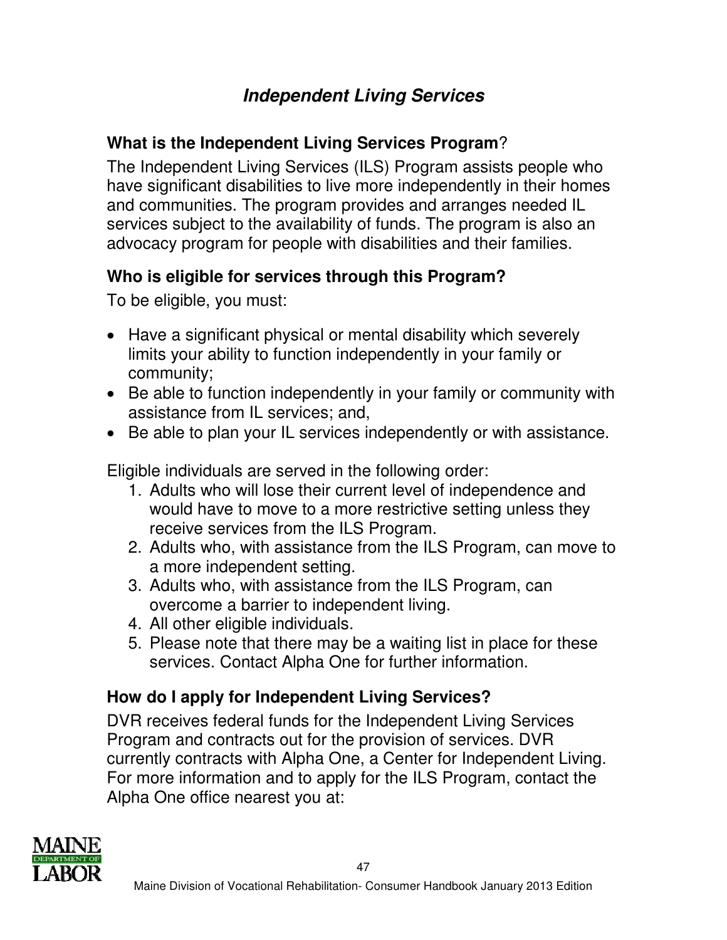# **Independent Living Services**

## **What is the Independent Living Services Program**?

The Independent Living Services (ILS) Program assists people who have significant disabilities to live more independently in their homes and communities. The program provides and arranges needed IL services subject to the availability of funds. The program is also an advocacy program for people with disabilities and their families.

## **Who is eligible for services through this Program?**

To be eligible, you must:

- Have a significant physical or mental disability which severely limits your ability to function independently in your family or community;
- Be able to function independently in your family or community with assistance from IL services; and,
- Be able to plan your IL services independently or with assistance.

Eligible individuals are served in the following order:

- 1. Adults who will lose their current level of independence and would have to move to a more restrictive setting unless they receive services from the ILS Program.
- 2. Adults who, with assistance from the ILS Program, can move to a more independent setting.
- 3. Adults who, with assistance from the ILS Program, can overcome a barrier to independent living.
- 4. All other eligible individuals.
- 5. Please note that there may be a waiting list in place for these services. Contact Alpha One for further information.

# **How do I apply for Independent Living Services?**

DVR receives federal funds for the Independent Living Services Program and contracts out for the provision of services. DVR currently contracts with Alpha One, a Center for Independent Living. For more information and to apply for the ILS Program, contact the Alpha One office nearest you at:

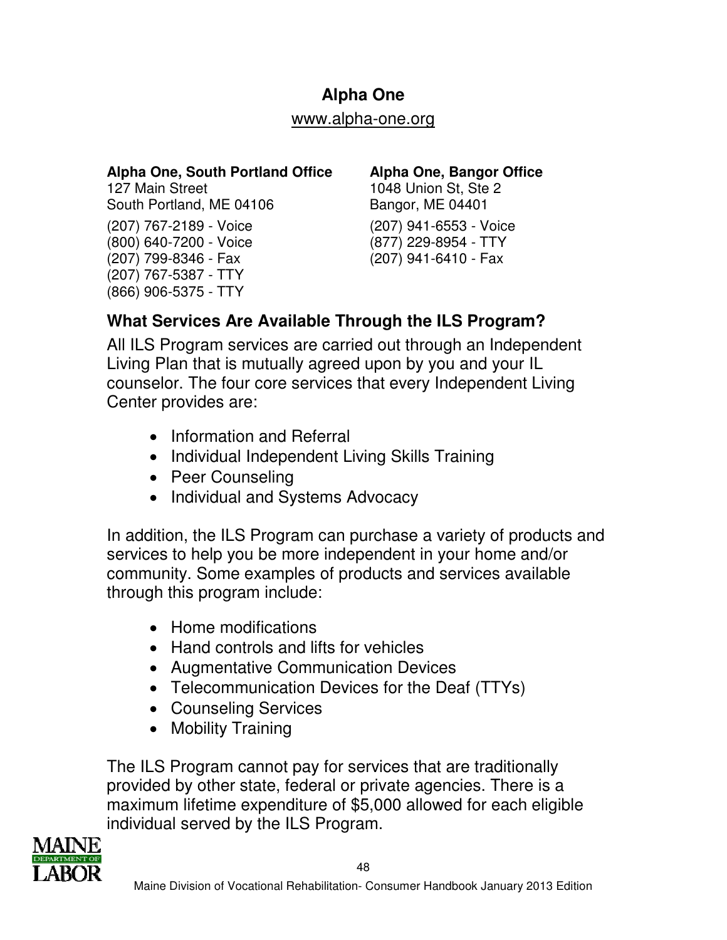### **Alpha One**

#### www.alpha-one.org

### **Alpha One, South Portland Office**

127 Main Street South Portland, ME 04106 (207) 767-2189 - Voice (800) 640-7200 - Voice (207) 799-8346 - Fax (207) 767-5387 - TTY (866) 906-5375 - TTY

### **Alpha One, Bangor Office**

1048 Union St, Ste 2 Bangor, ME 04401 (207) 941-6553 - Voice (877) 229-8954 - TTY (207) 941-6410 - Fax

### **What Services Are Available Through the ILS Program?**

All ILS Program services are carried out through an Independent Living Plan that is mutually agreed upon by you and your IL counselor. The four core services that every Independent Living Center provides are:

- Information and Referral
- Individual Independent Living Skills Training
- Peer Counseling
- Individual and Systems Advocacy

In addition, the ILS Program can purchase a variety of products and services to help you be more independent in your home and/or community. Some examples of products and services available through this program include:

- Home modifications
- Hand controls and lifts for vehicles
- Augmentative Communication Devices
- Telecommunication Devices for the Deaf (TTYs)
- Counseling Services
- Mobility Training

The ILS Program cannot pay for services that are traditionally provided by other state, federal or private agencies. There is a maximum lifetime expenditure of \$5,000 allowed for each eligible individual served by the ILS Program.

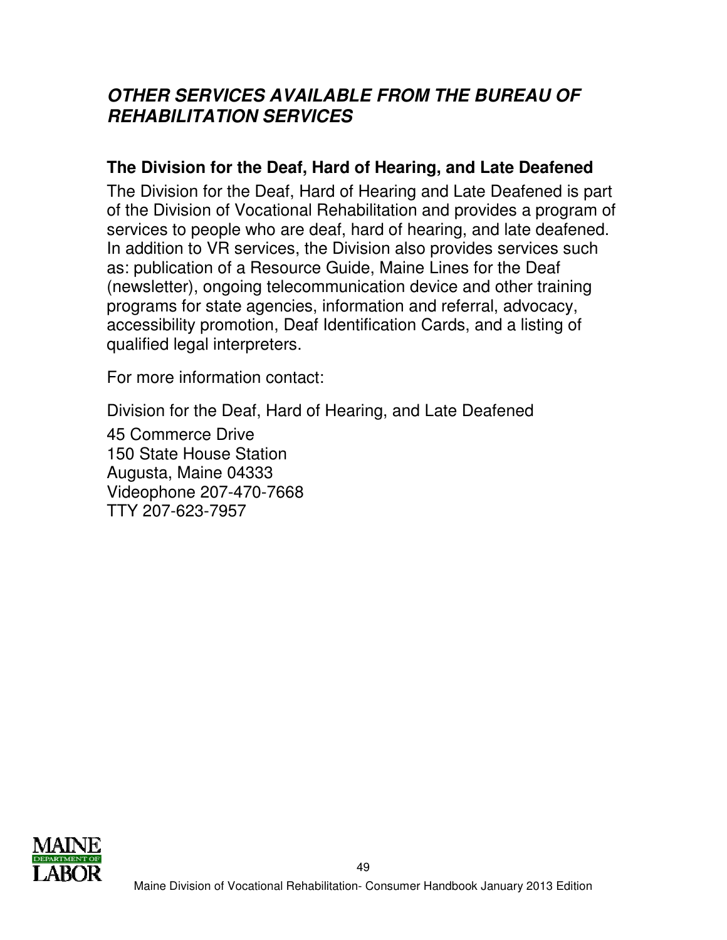## **OTHER SERVICES AVAILABLE FROM THE BUREAU OF REHABILITATION SERVICES**

### **The Division for the Deaf, Hard of Hearing, and Late Deafened**

The Division for the Deaf, Hard of Hearing and Late Deafened is part of the Division of Vocational Rehabilitation and provides a program of services to people who are deaf, hard of hearing, and late deafened. In addition to VR services, the Division also provides services such as: publication of a Resource Guide, Maine Lines for the Deaf (newsletter), ongoing telecommunication device and other training programs for state agencies, information and referral, advocacy, accessibility promotion, Deaf Identification Cards, and a listing of qualified legal interpreters.

For more information contact:

Division for the Deaf, Hard of Hearing, and Late Deafened

45 Commerce Drive 150 State House Station Augusta, Maine 04333 Videophone 207-470-7668 TTY 207-623-7957

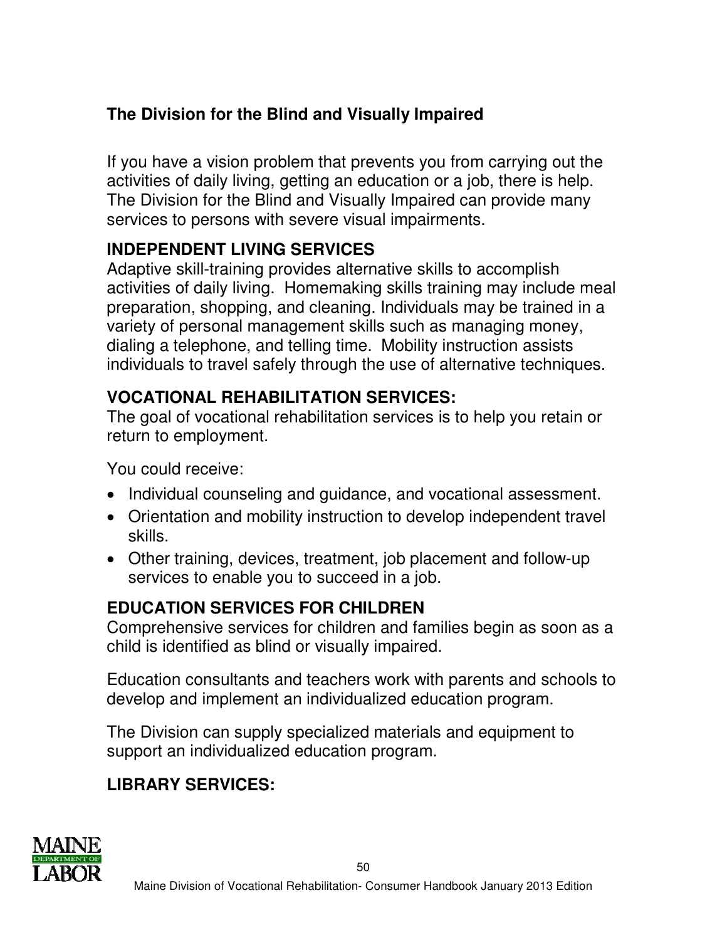## **The Division for the Blind and Visually Impaired**

If you have a vision problem that prevents you from carrying out the activities of daily living, getting an education or a job, there is help. The Division for the Blind and Visually Impaired can provide many services to persons with severe visual impairments.

## **INDEPENDENT LIVING SERVICES**

Adaptive skill-training provides alternative skills to accomplish activities of daily living. Homemaking skills training may include meal preparation, shopping, and cleaning. Individuals may be trained in a variety of personal management skills such as managing money, dialing a telephone, and telling time. Mobility instruction assists individuals to travel safely through the use of alternative techniques.

## **VOCATIONAL REHABILITATION SERVICES:**

The goal of vocational rehabilitation services is to help you retain or return to employment.

You could receive:

- Individual counseling and guidance, and vocational assessment.
- Orientation and mobility instruction to develop independent travel skills.
- Other training, devices, treatment, job placement and follow-up services to enable you to succeed in a job.

# **EDUCATION SERVICES FOR CHILDREN**

Comprehensive services for children and families begin as soon as a child is identified as blind or visually impaired.

Education consultants and teachers work with parents and schools to develop and implement an individualized education program.

The Division can supply specialized materials and equipment to support an individualized education program.

# **LIBRARY SERVICES:**

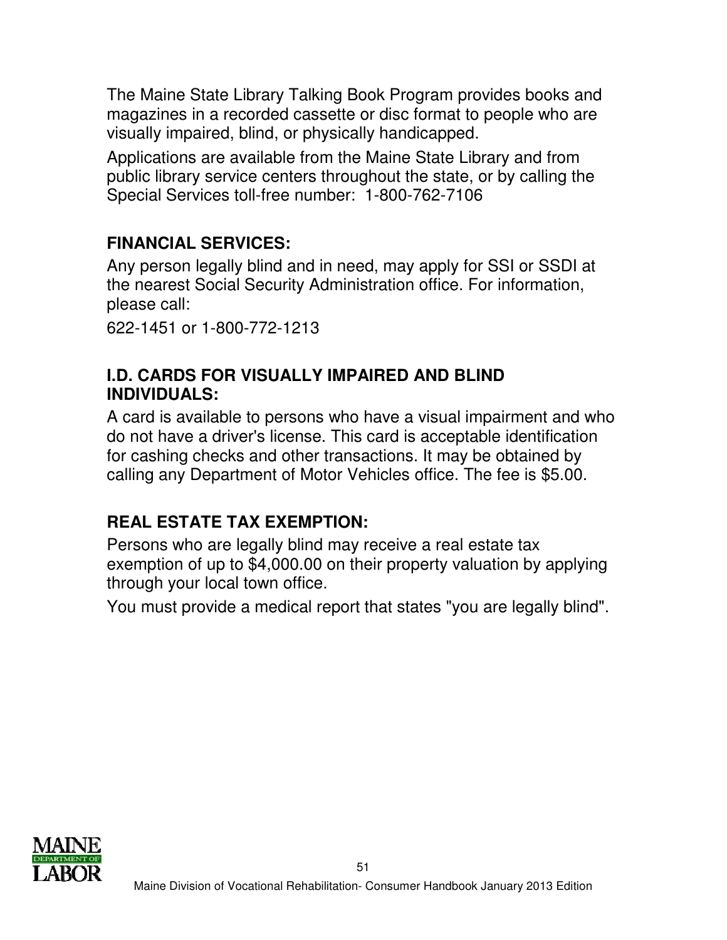The Maine State Library Talking Book Program provides books and magazines in a recorded cassette or disc format to people who are visually impaired, blind, or physically handicapped.

Applications are available from the Maine State Library and from public library service centers throughout the state, or by calling the Special Services toll-free number: 1-800-762-7106

# **FINANCIAL SERVICES:**

Any person legally blind and in need, may apply for SSI or SSDI at the nearest Social Security Administration office. For information, please call:

622-1451 or 1-800-772-1213

### **I.D. CARDS FOR VISUALLY IMPAIRED AND BLIND INDIVIDUALS:**

A card is available to persons who have a visual impairment and who do not have a driver's license. This card is acceptable identification for cashing checks and other transactions. It may be obtained by calling any Department of Motor Vehicles office. The fee is \$5.00.

## **REAL ESTATE TAX EXEMPTION:**

Persons who are legally blind may receive a real estate tax exemption of up to \$4,000.00 on their property valuation by applying through your local town office.

You must provide a medical report that states "you are legally blind".

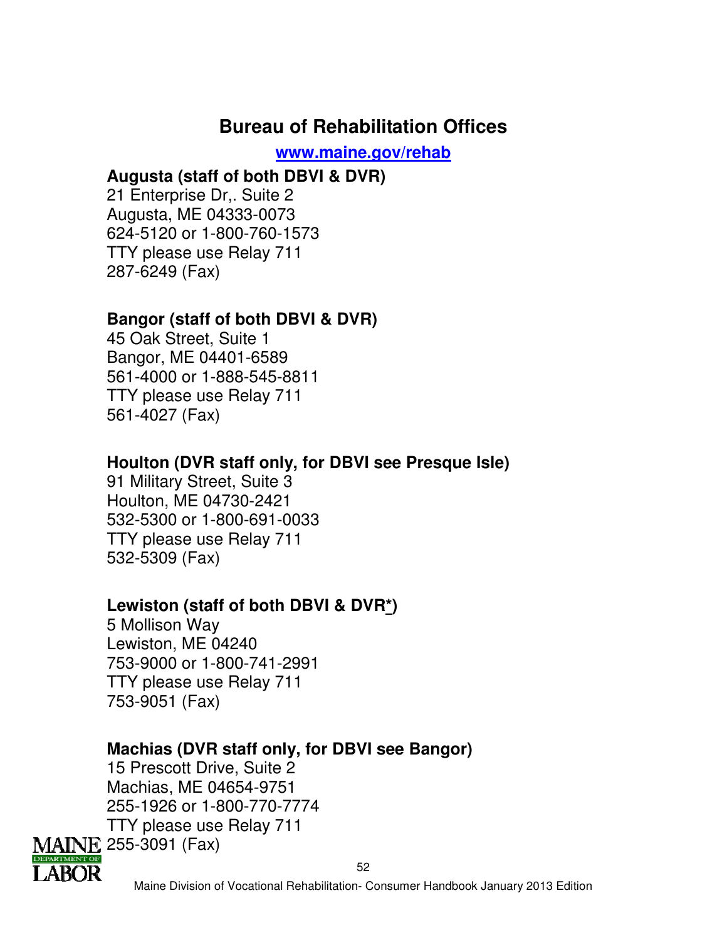# **Bureau of Rehabilitation Offices**

**www.maine.gov/rehab**

### **Augusta (staff of both DBVI & DVR)**

21 Enterprise Dr,. Suite 2 Augusta, ME 04333-0073 624-5120 or 1-800-760-1573 TTY please use Relay 711 287-6249 (Fax)

### **Bangor (staff of both DBVI & DVR)**

45 Oak Street, Suite 1 Bangor, ME 04401-6589 561-4000 or 1-888-545-8811 TTY please use Relay 711 561-4027 (Fax)

### **Houlton (DVR staff only, for DBVI see Presque Isle)**

91 Military Street, Suite 3 Houlton, ME 04730-2421 532-5300 or 1-800-691-0033 TTY please use Relay 711 532-5309 (Fax)

### **Lewiston (staff of both DBVI & DVR\*)**

5 Mollison Way Lewiston, ME 04240 753-9000 or 1-800-741-2991 TTY please use Relay 711 753-9051 (Fax)

### **Machias (DVR staff only, for DBVI see Bangor)**

15 Prescott Drive, Suite 2 Machias, ME 04654-9751 255-1926 or 1-800-770-7774 TTY please use Relay 711 MAINE 255-3091 (Fax)



52

Maine Division of Vocational Rehabilitation- Consumer Handbook January 2013 Edition